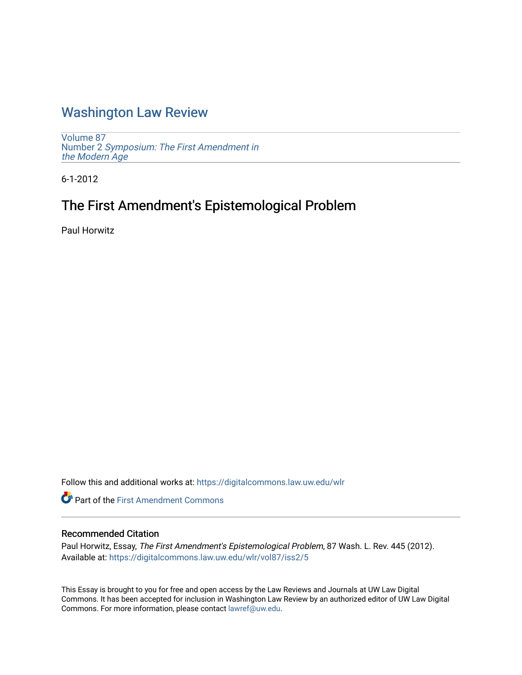# [Washington Law Review](https://digitalcommons.law.uw.edu/wlr)

[Volume 87](https://digitalcommons.law.uw.edu/wlr/vol87) Number 2 [Symposium: The First Amendment in](https://digitalcommons.law.uw.edu/wlr/vol87/iss2) [the Modern Age](https://digitalcommons.law.uw.edu/wlr/vol87/iss2) 

6-1-2012

# The First Amendment's Epistemological Problem

Paul Horwitz

Follow this and additional works at: [https://digitalcommons.law.uw.edu/wlr](https://digitalcommons.law.uw.edu/wlr?utm_source=digitalcommons.law.uw.edu%2Fwlr%2Fvol87%2Fiss2%2F5&utm_medium=PDF&utm_campaign=PDFCoverPages)

**Part of the First Amendment Commons** 

# Recommended Citation

Paul Horwitz, Essay, The First Amendment's Epistemological Problem, 87 Wash. L. Rev. 445 (2012). Available at: [https://digitalcommons.law.uw.edu/wlr/vol87/iss2/5](https://digitalcommons.law.uw.edu/wlr/vol87/iss2/5?utm_source=digitalcommons.law.uw.edu%2Fwlr%2Fvol87%2Fiss2%2F5&utm_medium=PDF&utm_campaign=PDFCoverPages)

This Essay is brought to you for free and open access by the Law Reviews and Journals at UW Law Digital Commons. It has been accepted for inclusion in Washington Law Review by an authorized editor of UW Law Digital Commons. For more information, please contact [lawref@uw.edu](mailto:lawref@uw.edu).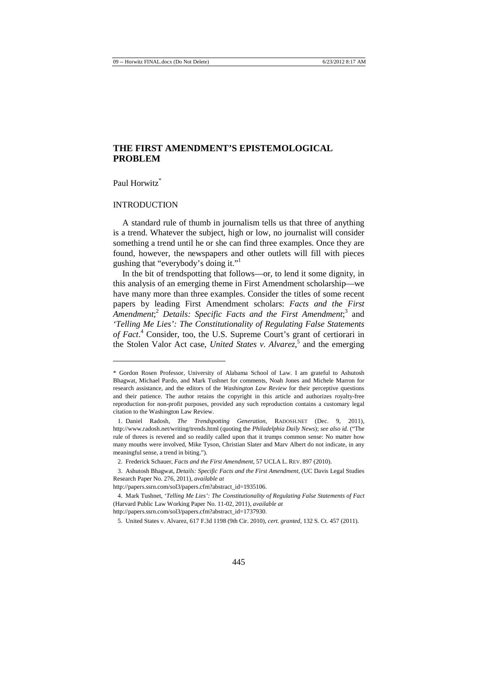# **THE FIRST AMENDMENT'S EPISTEMOLOGICAL PROBLEM**

#### Paul Horwitz<sup>\*</sup>

 $\overline{a}$ 

#### INTRODUCTION

A standard rule of thumb in journalism tells us that three of anything is a trend. Whatever the subject, high or low, no journalist will consider something a trend until he or she can find three examples. Once they are found, however, the newspapers and other outlets will fill with pieces gushing that "everybody's doing it."<sup>1</sup>

In the bit of trendspotting that follows—or, to lend it some dignity, in this analysis of an emerging theme in First Amendment scholarship—we have many more than three examples. Consider the titles of some recent papers by leading First Amendment scholars: *Facts and the First*  Amendment;<sup>2</sup> Details: Specific Facts and the First Amendment;<sup>3</sup> and *'Telling Me Lies': The Constitutionality of Regulating False Statements of Fact*. 4 Consider, too, the U.S. Supreme Court's grant of certiorari in the Stolen Valor Act case, *United States v. Alvarez*, 5 and the emerging

<sup>\*</sup> Gordon Rosen Professor, University of Alabama School of Law. I am grateful to Ashutosh Bhagwat, Michael Pardo, and Mark Tushnet for comments, Noah Jones and Michele Marron for research assistance, and the editors of the *Washington Law Review* for their perceptive questions and their patience. The author retains the copyright in this article and authorizes royalty-free reproduction for non-profit purposes, provided any such reproduction contains a customary legal citation to the Washington Law Review.

<sup>1.</sup> Daniel Radosh, *The Trendspotting Generation*, RADOSH.NET (Dec. 9, 2011), http://www.radosh.net/writing/trends.html (quoting the *Philadelphia Daily News*); *see also id.* ("The rule of threes is revered and so readily called upon that it trumps common sense: No matter how many mouths were involved, Mike Tyson, Christian Slater and Marv Albert do not indicate, in any meaningful sense, a trend in biting.").

<sup>2.</sup> Frederick Schauer, *Facts and the First Amendment*, 57 UCLA L. REV. 897 (2010).

<sup>3.</sup> Ashutosh Bhagwat, *Details: Specific Facts and the First Amendment*, (UC Davis Legal Studies Research Paper No. 276, 2011), *available at*

http://papers.ssrn.com/sol3/papers.cfm?abstract\_id=1935106.

<sup>4.</sup> Mark Tushnet, *'Telling Me Lies': The Constitutionality of Regulating False Statements of Fact* (Harvard Public Law Working Paper No. 11-02, 2011), *available at*

http://papers.ssrn.com/sol3/papers.cfm?abstract\_id=1737930.

<sup>5.</sup> United States v. Alvarez, 617 F.3d 1198 (9th Cir. 2010), *cert. granted*, 132 S. Ct. 457 (2011).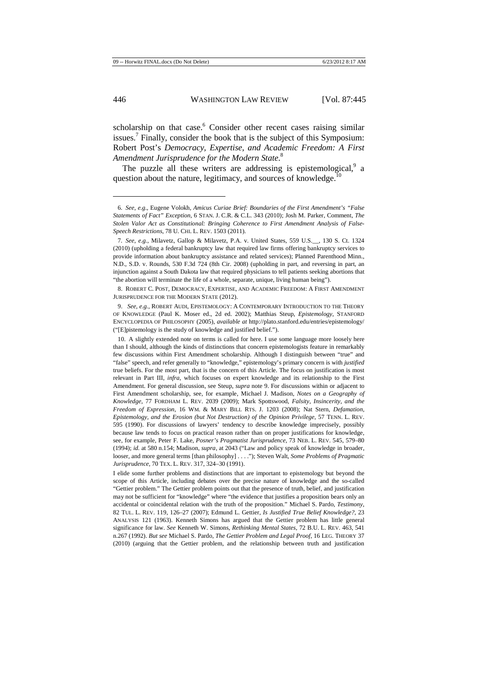scholarship on that case.<sup>6</sup> Consider other recent cases raising similar issues.<sup>7</sup> Finally, consider the book that is the subject of this Symposium: Robert Post's *Democracy, Expertise, and Academic Freedom: A First Amendment Jurisprudence for the Modern State*. 8

The puzzle all these writers are addressing is epistemological,<sup>9</sup> a question about the nature, legitimacy, and sources of knowledge.<sup>10</sup>

8. ROBERT C. POST, DEMOCRACY, EXPERTISE, AND ACADEMIC FREEDOM: A FIRST AMENDMENT JURISPRUDENCE FOR THE MODERN STATE (2012).

9. *See, e.g.*, ROBERT AUDI, EPISTEMOLOGY: A CONTEMPORARY INTRODUCTION TO THE THEORY OF KNOWLEDGE (Paul K. Moser ed., 2d ed. 2002); Matthias Steup, *Epistemology*, STANFORD ENCYCLOPEDIA OF PHILOSOPHY (2005), *available at* http://plato.stanford.edu/entries/epistemology/ ("[E]pistemology is the study of knowledge and justified belief.").

I elide some further problems and distinctions that are important to epistemology but beyond the scope of this Article, including debates over the precise nature of knowledge and the so-called "Gettier problem." The Gettier problem points out that the presence of truth, belief, and justification may not be sufficient for "knowledge" where "the evidence that justifies a proposition bears only an accidental or coincidental relation with the truth of the proposition." Michael S. Pardo, *Testimony*, 82 TUL. L. REV. 119, 126–27 (2007); Edmund L. Gettier, *Is Justified True Belief Knowledge?*, 23 ANALYSIS 121 (1963). Kenneth Simons has argued that the Gettier problem has little general significance for law. *See* Kenneth W. Simons, *Rethinking Mental States*, 72 B.U. L. REV. 463, 541 n.267 (1992). *But see* Michael S. Pardo, *The Gettier Problem and Legal Proof*, 16 LEG. THEORY 37 (2010) (arguing that the Gettier problem, and the relationship between truth and justification

<sup>6</sup>*. See, e.g.*, Eugene Volokh, *Amicus Curiae Brief: Boundaries of the First Amendment's "False Statements of Fact" Exception*, 6 STAN. J. C.R. & C.L. 343 (2010); Josh M. Parker, Comment, *The Stolen Valor Act as Constitutional: Bringing Coherence to First Amendment Analysis of False-Speech Restrictions*, 78 U. CHI. L. REV. 1503 (2011).

<sup>7</sup>*. See, e.g.*, Milavetz, Gallop & Milavetz, P.A. v. United States, 559 U.S.\_\_, 130 S. Ct. 1324 (2010) (upholding a federal bankruptcy law that required law firms offering bankruptcy services to provide information about bankruptcy assistance and related services); Planned Parenthood Minn., N.D., S.D. v. Rounds, 530 F.3d 724 (8th Cir. 2008) (upholding in part, and reversing in part, an injunction against a South Dakota law that required physicians to tell patients seeking abortions that "the abortion will terminate the life of a whole, separate, unique, living human being").

<sup>10.</sup> A slightly extended note on terms is called for here. I use some language more loosely here than I should, although the kinds of distinctions that concern epistemologists feature in remarkably few discussions within First Amendment scholarship. Although I distinguish between "true" and "false" speech, and refer generally to "knowledge," epistemology's primary concern is with *justified*  true beliefs. For the most part, that is the concern of this Article. The focus on justification is most relevant in Part III, *infra*, which focuses on expert knowledge and its relationship to the First Amendment. For general discussion, see Steup, *supra* note 9. For discussions within or adjacent to First Amendment scholarship, see, for example, Michael J. Madison, *Notes on a Geography of Knowledge*, 77 FORDHAM L. REV. 2039 (2009); Mark Spottswood, *Falsity, Insincerity, and the Freedom of Expression*, 16 WM. & MARY BILL RTS. J. 1203 (2008); Nat Stern, *Defamation, Epistemology, and the Erosion (but Not Destruction) of the Opinion Privilege*, 57 TENN. L. REV. 595 (1990). For discussions of lawyers' tendency to describe knowledge imprecisely, possibly because law tends to focus on practical reason rather than on proper justifications for knowledge, see, for example, Peter F. Lake, *Posner's Pragmatist Jurisprudence*, 73 NEB. L. REV. 545, 579–80 (1994); *id.* at 580 n.154; Madison, *supra*, at 2043 ("Law and policy speak of knowledge in broader, looser, and more general terms [than philosophy] . . . ."); Steven Walt, *Some Problems of Pragmatic Jurisprudence*, 70 TEX. L. REV. 317, 324–30 (1991).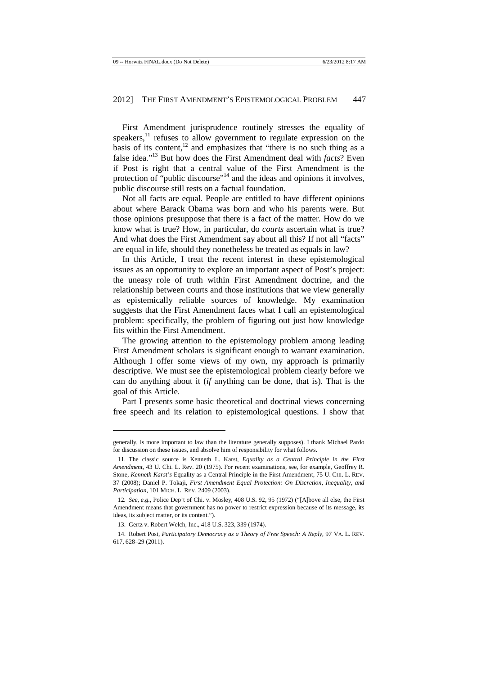First Amendment jurisprudence routinely stresses the equality of speakers, $11$  refuses to allow government to regulate expression on the basis of its content, $12$  and emphasizes that "there is no such thing as a false idea."<sup>13</sup> But how does the First Amendment deal with *facts*? Even if Post is right that a central value of the First Amendment is the protection of "public discourse"<sup>14</sup> and the ideas and opinions it involves, public discourse still rests on a factual foundation.

Not all facts are equal. People are entitled to have different opinions about where Barack Obama was born and who his parents were. But those opinions presuppose that there is a fact of the matter. How do we know what is true? How, in particular, do *courts* ascertain what is true? And what does the First Amendment say about all this? If not all "facts" are equal in life, should they nonetheless be treated as equals in law?

In this Article, I treat the recent interest in these epistemological issues as an opportunity to explore an important aspect of Post's project: the uneasy role of truth within First Amendment doctrine, and the relationship between courts and those institutions that we view generally as epistemically reliable sources of knowledge. My examination suggests that the First Amendment faces what I call an epistemological problem: specifically, the problem of figuring out just how knowledge fits within the First Amendment.

The growing attention to the epistemology problem among leading First Amendment scholars is significant enough to warrant examination. Although I offer some views of my own, my approach is primarily descriptive. We must see the epistemological problem clearly before we can do anything about it (*if* anything can be done, that is). That is the goal of this Article.

Part I presents some basic theoretical and doctrinal views concerning free speech and its relation to epistemological questions. I show that

l

generally, is more important to law than the literature generally supposes). I thank Michael Pardo for discussion on these issues, and absolve him of responsibility for what follows.

<sup>11.</sup> The classic source is Kenneth L. Karst, *Equality as a Central Principle in the First Amendment*, 43 U. Chi. L. Rev. 20 (1975). For recent examinations, see, for example, Geoffrey R. Stone, *Kenneth Karst's* Equality as a Central Principle in the First Amendment, 75 U. CHI. L. REV. 37 (2008); Daniel P. Tokaji, *First Amendment Equal Protection: On Discretion, Inequality, and Participation*, 101 MICH. L. REV. 2409 (2003).

<sup>12</sup>*. See, e.g.*, Police Dep't of Chi. v. Mosley, 408 U.S. 92, 95 (1972) ("[A]bove all else, the First Amendment means that government has no power to restrict expression because of its message, its ideas, its subject matter, or its content.").

<sup>13.</sup> Gertz v. Robert Welch, Inc., 418 U.S. 323, 339 (1974).

<sup>14.</sup> Robert Post, *Participatory Democracy as a Theory of Free Speech: A Reply*, 97 VA. L. REV. 617, 628–29 (2011).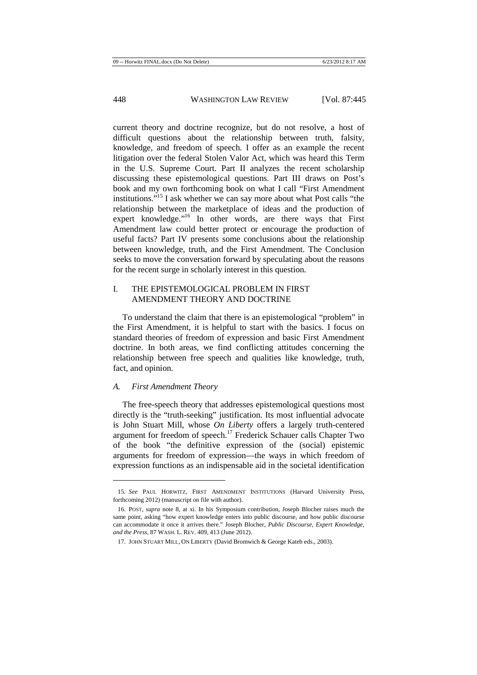current theory and doctrine recognize, but do not resolve, a host of difficult questions about the relationship between truth, falsity, knowledge, and freedom of speech. I offer as an example the recent litigation over the federal Stolen Valor Act, which was heard this Term in the U.S. Supreme Court. Part II analyzes the recent scholarship discussing these epistemological questions. Part III draws on Post's book and my own forthcoming book on what I call "First Amendment institutions."<sup>15</sup> I ask whether we can say more about what Post calls "the relationship between the marketplace of ideas and the production of expert knowledge."<sup>16</sup> In other words, are there ways that First Amendment law could better protect or encourage the production of useful facts? Part IV presents some conclusions about the relationship between knowledge, truth, and the First Amendment. The Conclusion seeks to move the conversation forward by speculating about the reasons for the recent surge in scholarly interest in this question.

## I. THE EPISTEMOLOGICAL PROBLEM IN FIRST AMENDMENT THEORY AND DOCTRINE

To understand the claim that there is an epistemological "problem" in the First Amendment, it is helpful to start with the basics. I focus on standard theories of freedom of expression and basic First Amendment doctrine. In both areas, we find conflicting attitudes concerning the relationship between free speech and qualities like knowledge, truth, fact, and opinion.

#### *A. First Amendment Theory*

 $\overline{a}$ 

The free-speech theory that addresses epistemological questions most directly is the "truth-seeking" justification. Its most influential advocate is John Stuart Mill, whose *On Liberty* offers a largely truth-centered argument for freedom of speech.<sup>17</sup> Frederick Schauer calls Chapter Two of the book "the definitive expression of the (social) epistemic arguments for freedom of expression—the ways in which freedom of expression functions as an indispensable aid in the societal identification

<sup>15</sup>*. See* PAUL HORWITZ, FIRST AMENDMENT INSTITUTIONS (Harvard University Press, forthcoming 2012) (manuscript on file with author).

<sup>16.</sup> POST, *supra* note 8, at xi. In his Symposium contribution, Joseph Blocher raises much the same point, asking "how expert knowledge enters into public discourse, and how public discourse can accommodate it once it arrives there." Joseph Blocher, *Public Discourse, Expert Knowledge, and the Press*, 87 WASH. L. REV. 409, 413 (June 2012).

<sup>17.</sup> JOHN STUART MILL, ON LIBERTY (David Bromwich & George Kateb eds., 2003).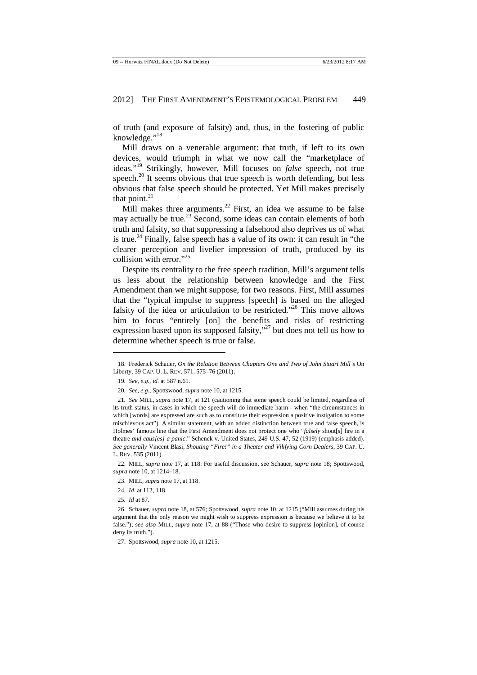of truth (and exposure of falsity) and, thus, in the fostering of public knowledge."<sup>18</sup>

Mill draws on a venerable argument: that truth, if left to its own devices, would triumph in what we now call the "marketplace of ideas."<sup>19</sup> Strikingly, however, Mill focuses on *false* speech, not true speech. $20$  It seems obvious that true speech is worth defending, but less obvious that false speech should be protected. Yet Mill makes precisely that point. $^{21}$ 

Mill makes three arguments.<sup>22</sup> First, an idea we assume to be false may actually be true.<sup>23</sup> Second, some ideas can contain elements of both truth and falsity, so that suppressing a falsehood also deprives us of what is true.<sup>24</sup> Finally, false speech has a value of its own: it can result in "the clearer perception and livelier impression of truth, produced by its collision with error."<sup>25</sup>

Despite its centrality to the free speech tradition, Mill's argument tells us less about the relationship between knowledge and the First Amendment than we might suppose, for two reasons. First, Mill assumes that the "typical impulse to suppress [speech] is based on the alleged falsity of the idea or articulation to be restricted."<sup>26</sup> This move allows him to focus "entirely [on] the benefits and risks of restricting expression based upon its supposed falsity,"<sup>27</sup> but does not tell us how to determine whether speech is true or false.

 $\overline{a}$ 

25*. Id* at 87*.*

<sup>18.</sup> Frederick Schauer, *On the Relation Between Chapters One and Two of John Stuart Mill's* On Liberty, 39 CAP. U. L. REV. 571, 575–76 (2011).

<sup>19</sup>*. See, e.g.*, *id.* at 587 n.61.

<sup>20</sup>*. See, e.g.*, Spottswood, *supra* note 10, at 1215.

<sup>21</sup>*. See* MILL, *supra* note 17, at 121 (cautioning that some speech could be limited, regardless of its truth status, in cases in which the speech will do immediate harm—when "the circumstances in which [words] are expressed are such as to constitute their expression a positive instigation to some mischievous act")*.* A similar statement, with an added distinction between true and false speech, is Holmes' famous line that the First Amendment does not protect one who "*falsely* shout[s] fire in a theatre *and caus[es] a panic*." Schenck v. United States, 249 U.S. 47, 52 (1919) (emphasis added). *See generally* Vincent Blasi, *Shouting "Fire!" in a Theater and Vilifying Corn Dealers*, 39 CAP. U. L. REV. 535 (2011).

<sup>22.</sup> MILL, *supra* note 17, at 118. For useful discussion, see Schauer, *supra* note 18; Spottswood, *supra* note 10, at 1214–18.

<sup>23.</sup> MILL, *supra* note 17, at 118.

<sup>24</sup>*. Id.* at 112, 118.

<sup>26.</sup> Schauer, *supra* note 18, at 576; Spottswood, *supra* note 10, at 1215 ("Mill assumes during his argument that the only reason we might wish to suppress expression is because we believe it to be false."); s*ee also* MILL, *supra* note 17, at 88 ("Those who desire to suppress [opinion], of course deny its truth.").

<sup>27.</sup> Spottswood, *supra* note 10, at 1215.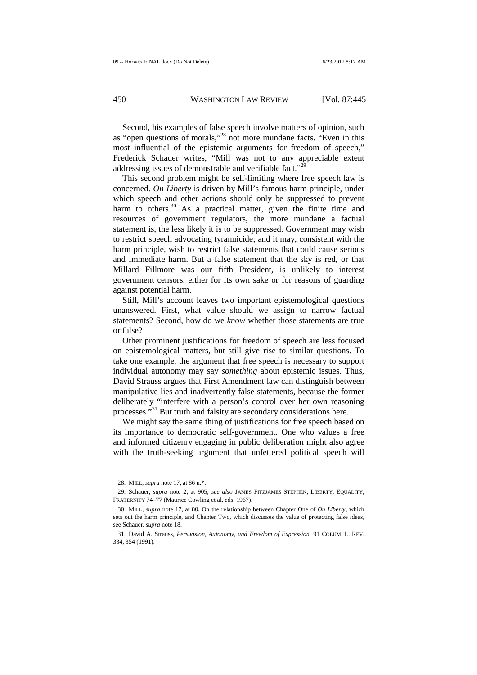Second, his examples of false speech involve matters of opinion, such as "open questions of morals,"<sup>28</sup> not more mundane facts. "Even in this most influential of the epistemic arguments for freedom of speech," Frederick Schauer writes, "Mill was not to any appreciable extent addressing issues of demonstrable and verifiable fact."<sup>2</sup>

This second problem might be self-limiting where free speech law is concerned. *On Liberty* is driven by Mill's famous harm principle, under which speech and other actions should only be suppressed to prevent harm to others.<sup>30</sup> As a practical matter, given the finite time and resources of government regulators, the more mundane a factual statement is, the less likely it is to be suppressed. Government may wish to restrict speech advocating tyrannicide; and it may, consistent with the harm principle, wish to restrict false statements that could cause serious and immediate harm. But a false statement that the sky is red, or that Millard Fillmore was our fifth President, is unlikely to interest government censors, either for its own sake or for reasons of guarding against potential harm.

Still, Mill's account leaves two important epistemological questions unanswered. First, what value should we assign to narrow factual statements? Second, how do we *know* whether those statements are true or false?

Other prominent justifications for freedom of speech are less focused on epistemological matters, but still give rise to similar questions. To take one example, the argument that free speech is necessary to support individual autonomy may say *something* about epistemic issues. Thus, David Strauss argues that First Amendment law can distinguish between manipulative lies and inadvertently false statements, because the former deliberately "interfere with a person's control over her own reasoning processes."<sup>31</sup> But truth and falsity are secondary considerations here.

We might say the same thing of justifications for free speech based on its importance to democratic self-government. One who values a free and informed citizenry engaging in public deliberation might also agree with the truth-seeking argument that unfettered political speech will

<sup>28.</sup> MILL, *supra* note 17, at 86 n.\*.

<sup>29.</sup> Schauer, *supra* note 2, at 905; *see also* JAMES FITZJAMES STEPHEN, LIBERTY, EQUALITY, FRATERNITY 74–77 (Maurice Cowling et al. eds. 1967).

<sup>30.</sup> MILL, *supra* note 17, at 80. On the relationship between Chapter One of *On Liberty*, which sets out the harm principle, and Chapter Two, which discusses the value of protecting false ideas, see Schauer, *supra* note 18.

<sup>31.</sup> David A. Strauss, *Persuasion, Autonomy, and Freedom of Expression*, 91 COLUM. L. REV. 334, 354 (1991).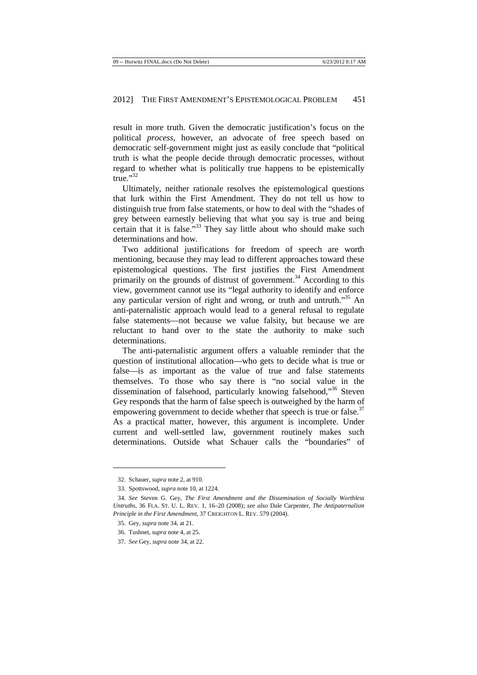result in more truth. Given the democratic justification's focus on the political *process*, however, an advocate of free speech based on democratic self-government might just as easily conclude that "political truth is what the people decide through democratic processes, without regard to whether what is politically true happens to be epistemically true."32

Ultimately, neither rationale resolves the epistemological questions that lurk within the First Amendment. They do not tell us how to distinguish true from false statements, or how to deal with the "shades of grey between earnestly believing that what you say is true and being certain that it is false."<sup>33</sup> They say little about who should make such determinations and how.

Two additional justifications for freedom of speech are worth mentioning, because they may lead to different approaches toward these epistemological questions. The first justifies the First Amendment primarily on the grounds of distrust of government.<sup>34</sup> According to this view, government cannot use its "legal authority to identify and enforce any particular version of right and wrong, or truth and untruth."<sup>35</sup> An anti-paternalistic approach would lead to a general refusal to regulate false statements—not because we value falsity, but because we are reluctant to hand over to the state the authority to make such determinations.

The anti-paternalistic argument offers a valuable reminder that the question of institutional allocation—who gets to decide what is true or false—is as important as the value of true and false statements themselves. To those who say there is "no social value in the dissemination of falsehood, particularly knowing falsehood,"<sup>36</sup> Steven Gey responds that the harm of false speech is outweighed by the harm of empowering government to decide whether that speech is true or false.<sup>37</sup> As a practical matter, however, this argument is incomplete. Under current and well-settled law, government routinely makes such determinations. Outside what Schauer calls the "boundaries" of

<sup>32.</sup> Schauer, *supra* note 2, at 910.

<sup>33.</sup> Spottswood, *supra* note 10, at 1224.

<sup>34</sup>*. See* Steven G. Gey, *The First Amendment and the Dissemination of Socially Worthless Untruths*, 36 FLA. ST. U. L. REV. 1, 16–20 (2008); *see also* Dale Carpenter, *The Antipaternalism Principle in the First Amendment*, 37 CREIGHTON L. REV. 579 (2004).

<sup>35.</sup> Gey, *supra* note 34, at 21.

<sup>36.</sup> Tushnet, *supra* note 4, at 25.

<sup>37.</sup> *See* Gey, *supra* note 34, at 22.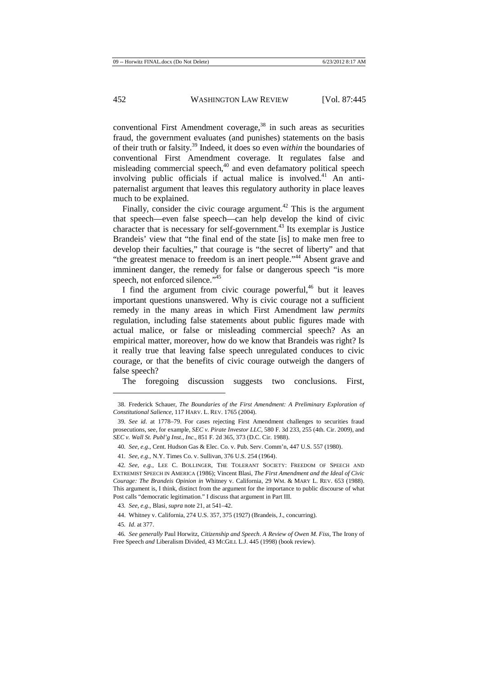conventional First Amendment coverage, $38$  in such areas as securities fraud, the government evaluates (and punishes) statements on the basis of their truth or falsity.<sup>39</sup> Indeed, it does so even *within* the boundaries of conventional First Amendment coverage. It regulates false and misleading commercial speech,<sup>40</sup> and even defamatory political speech involving public officials if actual malice is involved.<sup>41</sup> An antipaternalist argument that leaves this regulatory authority in place leaves much to be explained.

Finally, consider the civic courage argument.<sup>42</sup> This is the argument that speech—even false speech—can help develop the kind of civic character that is necessary for self-government.<sup>43</sup> Its exemplar is Justice Brandeis' view that "the final end of the state [is] to make men free to develop their faculties," that courage is "the secret of liberty" and that "the greatest menace to freedom is an inert people."<sup>44</sup> Absent grave and imminent danger, the remedy for false or dangerous speech "is more speech, not enforced silence."<sup>45</sup>

I find the argument from civic courage powerful,<sup>46</sup> but it leaves important questions unanswered. Why is civic courage not a sufficient remedy in the many areas in which First Amendment law *permits* regulation, including false statements about public figures made with actual malice, or false or misleading commercial speech? As an empirical matter, moreover, how do we know that Brandeis was right? Is it really true that leaving false speech unregulated conduces to civic courage, or that the benefits of civic courage outweigh the dangers of false speech?

The foregoing discussion suggests two conclusions. First,

<sup>38.</sup> Frederick Schauer, *The Boundaries of the First Amendment: A Preliminary Exploration of Constitutional Salience*, 117 HARV. L. REV. 1765 (2004).

<sup>39</sup>*. See id.* at 1778–79. For cases rejecting First Amendment challenges to securities fraud prosecutions, see, for example, *SEC v. Pirate Investor LLC*, 580 F. 3d 233, 255 (4th. Cir. 2009), and *SEC v. Wall St. Publ'g Inst., Inc.*, 851 F. 2d 365, 373 (D.C. Cir. 1988).

<sup>40</sup>*. See, e.g.*, Cent. Hudson Gas & Elec. Co. v. Pub. Serv. Comm'n, 447 U.S. 557 (1980).

<sup>41</sup>*. See, e.g.*, N.Y. Times Co. v. Sullivan, 376 U.S. 254 (1964).

<sup>42</sup>*. See, e.g.*, LEE C. BOLLINGER, THE TOLERANT SOCIETY: FREEDOM OF SPEECH AND EXTREMIST SPEECH IN AMERICA (1986); Vincent Blasi, *The First Amendment and the Ideal of Civic Courage: The Brandeis Opinion in* Whitney v. California, 29 WM. & MARY L. REV. 653 (1988). This argument is, I think, distinct from the argument for the importance to public discourse of what Post calls "democratic legitimation." I discuss that argument in Part III.

<sup>43</sup>*. See, e.g.*, Blasi, *supra* note 21, at 541–42.

<sup>44.</sup> Whitney v. California, 274 U.S. 357, 375 (1927) (Brandeis, J., concurring).

<sup>45</sup>*. Id.* at 377.

<sup>46</sup>*. See generally* Paul Horwitz, *Citizenship and Speech*. *A Review of Owen M. Fiss,* The Irony of Free Speech *and* Liberalism Divided, 43 MCGILL L.J. 445 (1998) (book review).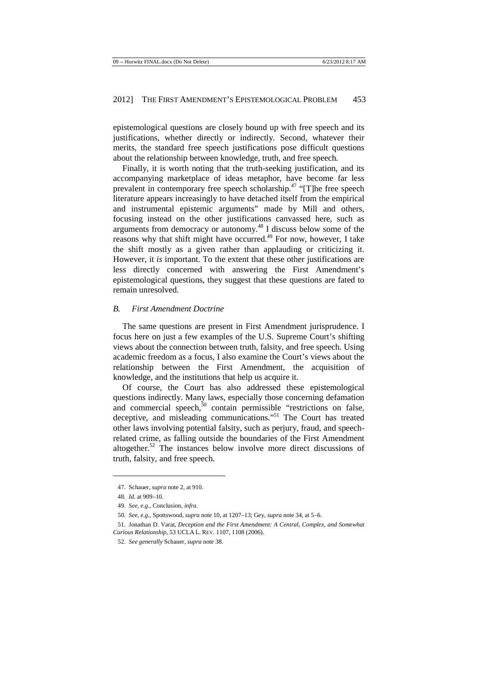epistemological questions are closely bound up with free speech and its justifications, whether directly or indirectly. Second, whatever their merits, the standard free speech justifications pose difficult questions about the relationship between knowledge, truth, and free speech.

Finally, it is worth noting that the truth-seeking justification, and its accompanying marketplace of ideas metaphor, have become far less prevalent in contemporary free speech scholarship.<sup>47</sup> "[T]he free speech literature appears increasingly to have detached itself from the empirical and instrumental epistemic arguments" made by Mill and others, focusing instead on the other justifications canvassed here, such as arguments from democracy or autonomy.<sup>48</sup> I discuss below some of the reasons why that shift might have occurred.<sup>49</sup> For now, however, I take the shift mostly as a given rather than applauding or criticizing it. However, it *is* important. To the extent that these other justifications are less directly concerned with answering the First Amendment's epistemological questions, they suggest that these questions are fated to remain unresolved.

#### *B. First Amendment Doctrine*

The same questions are present in First Amendment jurisprudence. I focus here on just a few examples of the U.S. Supreme Court's shifting views about the connection between truth, falsity, and free speech. Using academic freedom as a focus, I also examine the Court's views about the relationship between the First Amendment, the acquisition of knowledge, and the institutions that help us acquire it.

Of course, the Court has also addressed these epistemological questions indirectly. Many laws, especially those concerning defamation and commercial speech, $50$  contain permissible "restrictions on false, deceptive, and misleading communications."<sup>51</sup> The Court has treated other laws involving potential falsity, such as perjury, fraud, and speechrelated crime, as falling outside the boundaries of the First Amendment altogether.<sup>52</sup> The instances below involve more direct discussions of truth, falsity, and free speech.

<sup>47.</sup> Schauer, *supra* note 2, at 910.

<sup>48</sup>*. Id.* at 909–10.

<sup>49</sup>*. See, e.g.*, Conclusion, *infra.*

<sup>50</sup>*. See, e.g.*, Spottswood, *supra* note 10, at 1207–13; Gey, *supra* note 34, at 5–6.

<sup>51.</sup> Jonathan D. Varat, *Deception and the First Amendment: A Central, Complex, and Somewhat Curious Relationship*, 53 UCLA L. REV. 1107, 1108 (2006).

<sup>52</sup>*. See generally* Schauer, *supra* note 38.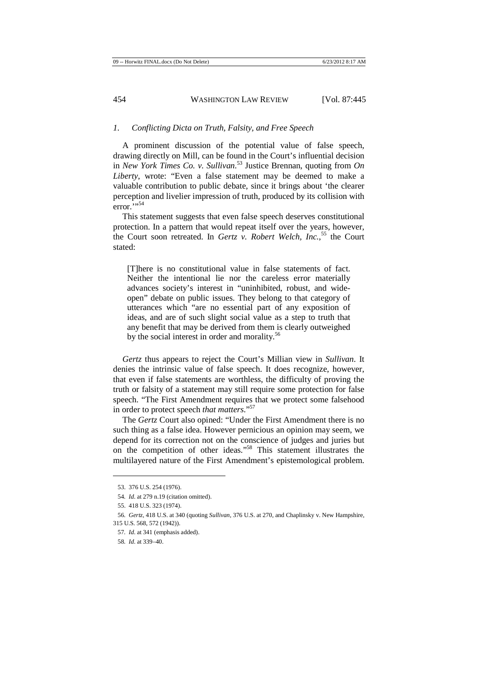#### *1. Conflicting Dicta on Truth, Falsity, and Free Speech*

A prominent discussion of the potential value of false speech, drawing directly on Mill, can be found in the Court's influential decision in *New York Times Co. v. Sullivan*. <sup>53</sup> Justice Brennan, quoting from *On Liberty*, wrote: "Even a false statement may be deemed to make a valuable contribution to public debate, since it brings about 'the clearer perception and livelier impression of truth, produced by its collision with  $error.^{\overline{}}; \cdot$ ,54

This statement suggests that even false speech deserves constitutional protection. In a pattern that would repeat itself over the years, however, the Court soon retreated. In *Gertz v. Robert Welch, Inc.*, <sup>55</sup> the Court stated:

[T]here is no constitutional value in false statements of fact. Neither the intentional lie nor the careless error materially advances society's interest in "uninhibited, robust, and wideopen" debate on public issues. They belong to that category of utterances which "are no essential part of any exposition of ideas, and are of such slight social value as a step to truth that any benefit that may be derived from them is clearly outweighed by the social interest in order and morality.<sup>56</sup>

*Gertz* thus appears to reject the Court's Millian view in *Sullivan*. It denies the intrinsic value of false speech. It does recognize, however, that even if false statements are worthless, the difficulty of proving the truth or falsity of a statement may still require some protection for false speech. "The First Amendment requires that we protect some falsehood in order to protect speech *that matters*."<sup>57</sup>

The *Gertz* Court also opined: "Under the First Amendment there is no such thing as a false idea. However pernicious an opinion may seem, we depend for its correction not on the conscience of judges and juries but on the competition of other ideas."<sup>58</sup> This statement illustrates the multilayered nature of the First Amendment's epistemological problem.

<sup>53. 376</sup> U.S. 254 (1976).

<sup>54</sup>*. Id.* at 279 n.19 (citation omitted).

<sup>55. 418</sup> U.S. 323 (1974).

<sup>56</sup>*. Gertz*, 418 U.S. at 340 (quoting *Sullivan*, 376 U.S. at 270, and Chaplinsky v. New Hampshire, 315 U.S. 568, 572 (1942)).

<sup>57</sup>*. Id.* at 341 (emphasis added).

<sup>58</sup>*. Id.* at 339–40.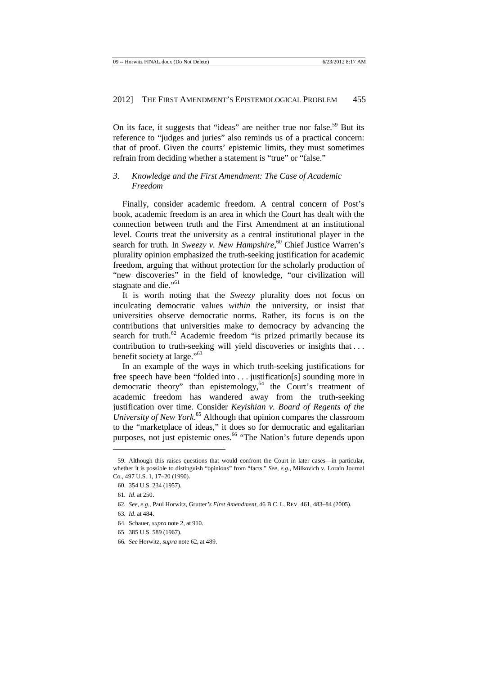On its face, it suggests that "ideas" are neither true nor false.<sup>59</sup> But its reference to "judges and juries" also reminds us of a practical concern: that of proof. Given the courts' epistemic limits, they must sometimes refrain from deciding whether a statement is "true" or "false."

## *3. Knowledge and the First Amendment: The Case of Academic Freedom*

Finally, consider academic freedom. A central concern of Post's book, academic freedom is an area in which the Court has dealt with the connection between truth and the First Amendment at an institutional level. Courts treat the university as a central institutional player in the search for truth. In *Sweezy v. New Hampshire*, <sup>60</sup> Chief Justice Warren's plurality opinion emphasized the truth-seeking justification for academic freedom, arguing that without protection for the scholarly production of "new discoveries" in the field of knowledge, "our civilization will stagnate and die."<sup>61</sup>

It is worth noting that the *Sweezy* plurality does not focus on inculcating democratic values *within* the university, or insist that universities observe democratic norms. Rather, its focus is on the contributions that universities make *to* democracy by advancing the search for truth.<sup>62</sup> Academic freedom "is prized primarily because its contribution to truth-seeking will yield discoveries or insights that . . . benefit society at large."<sup>63</sup>

In an example of the ways in which truth-seeking justifications for free speech have been "folded into . . . justification[s] sounding more in democratic theory" than epistemology, $64$  the Court's treatment of academic freedom has wandered away from the truth-seeking justification over time. Consider *Keyishian v. Board of Regents of the University of New York*. <sup>65</sup> Although that opinion compares the classroom to the "marketplace of ideas," it does so for democratic and egalitarian purposes, not just epistemic ones.<sup>66</sup> "The Nation's future depends upon

<sup>59.</sup> Although this raises questions that would confront the Court in later cases—in particular, whether it is possible to distinguish "opinions" from "facts." *See, e.g.*, Milkovich v. Lorain Journal Co., 497 U.S. 1, 17–20 (1990).

<sup>60. 354</sup> U.S. 234 (1957).

<sup>61</sup>*. Id.* at 250.

<sup>62</sup>*. See, e.g.*, Paul Horwitz, Grutter*'s First Amendment*, 46 B.C. L. REV. 461, 483–84 (2005).

<sup>63</sup>*. Id.* at 484.

<sup>64.</sup> Schauer, *supra* note 2, at 910.

<sup>65. 385</sup> U.S. 589 (1967).

<sup>66</sup>*. See* Horwitz, *supra* note 62, at 489.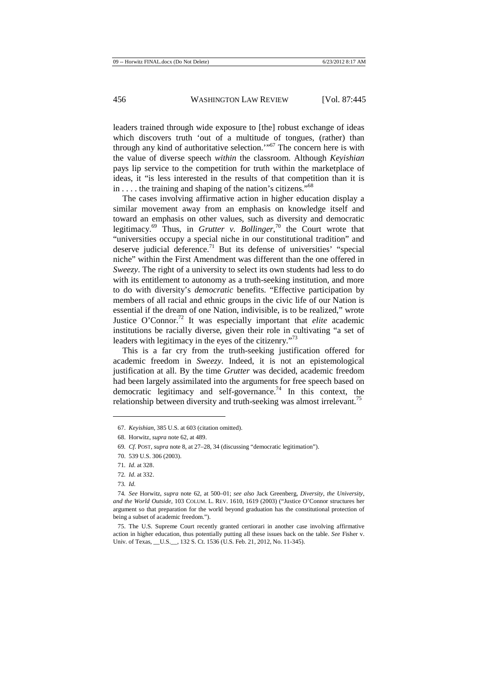leaders trained through wide exposure to [the] robust exchange of ideas which discovers truth 'out of a multitude of tongues, (rather) than through any kind of authoritative selection. $\cdot$ <sup>67</sup> The concern here is with the value of diverse speech *within* the classroom. Although *Keyishian*  pays lip service to the competition for truth within the marketplace of ideas, it "is less interested in the results of that competition than it is in . . . . the training and shaping of the nation's citizens."<sup>68</sup>

The cases involving affirmative action in higher education display a similar movement away from an emphasis on knowledge itself and toward an emphasis on other values, such as diversity and democratic legitimacy.<sup>69</sup> Thus, in *Grutter v. Bollinger*, <sup>70</sup> the Court wrote that "universities occupy a special niche in our constitutional tradition" and deserve judicial deference.<sup>71</sup> But its defense of universities' "special niche" within the First Amendment was different than the one offered in *Sweezy*. The right of a university to select its own students had less to do with its entitlement to autonomy as a truth-seeking institution, and more to do with diversity's *democratic* benefits. "Effective participation by members of all racial and ethnic groups in the civic life of our Nation is essential if the dream of one Nation, indivisible, is to be realized," wrote Justice O'Connor.<sup>72</sup> It was especially important that *elite* academic institutions be racially diverse, given their role in cultivating "a set of leaders with legitimacy in the eyes of the citizenry."<sup>73</sup>

This is a far cry from the truth-seeking justification offered for academic freedom in *Sweezy*. Indeed, it is not an epistemological justification at all. By the time *Grutter* was decided, academic freedom had been largely assimilated into the arguments for free speech based on democratic legitimacy and self-governance.<sup>74</sup> In this context, the relationship between diversity and truth-seeking was almost irrelevant.<sup>75</sup>

 $\overline{a}$ 

75. The U.S. Supreme Court recently granted certiorari in another case involving affirmative action in higher education, thus potentially putting all these issues back on the table. *See* Fisher v. Univ. of Texas, \_\_U.S.\_\_, 132 S. Ct. 1536 (U.S. Feb. 21, 2012, No. 11-345).

<sup>67.</sup> *Keyishian*, 385 U.S. at 603 (citation omitted).

<sup>68.</sup> Horwitz, *supra* note 62, at 489.

<sup>69</sup>*. Cf.* POST, *supra* note 8, at 27–28, 34 (discussing "democratic legitimation").

<sup>70. 539</sup> U.S. 306 (2003).

<sup>71</sup>*. Id.* at 328.

<sup>72</sup>*. Id.* at 332.

<sup>73</sup>*. Id.*

<sup>74</sup>*. See* Horwitz, *supra* note 62, at 500–01; *see also* Jack Greenberg, *Diversity, the University, and the World Outside*, 103 COLUM. L. REV. 1610, 1619 (2003) ("Justice O'Connor structures her argument so that preparation for the world beyond graduation has the constitutional protection of being a subset of academic freedom.").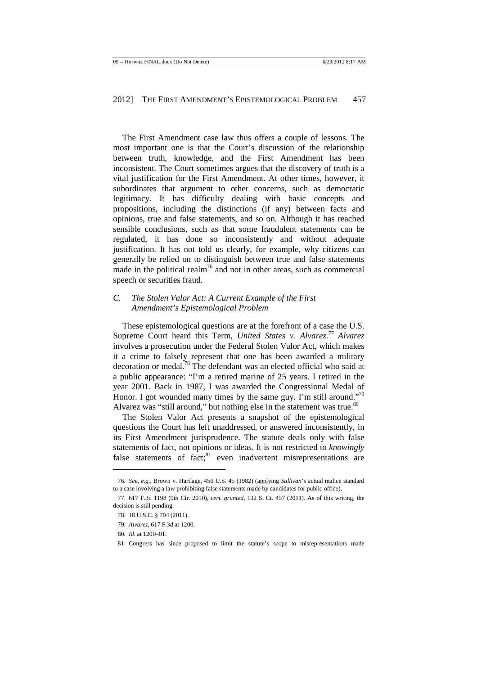The First Amendment case law thus offers a couple of lessons. The most important one is that the Court's discussion of the relationship between truth, knowledge, and the First Amendment has been inconsistent. The Court sometimes argues that the discovery of truth is a vital justification for the First Amendment. At other times, however, it subordinates that argument to other concerns, such as democratic legitimacy. It has difficulty dealing with basic concepts and propositions, including the distinctions (if any) between facts and opinions, true and false statements, and so on. Although it has reached sensible conclusions, such as that some fraudulent statements can be regulated, it has done so inconsistently and without adequate justification. It has not told us clearly, for example, why citizens can generally be relied on to distinguish between true and false statements made in the political realm<sup>76</sup> and not in other areas, such as commercial speech or securities fraud.

## *C. The Stolen Valor Act: A Current Example of the First Amendment's Epistemological Problem*

These epistemological questions are at the forefront of a case the U.S. Supreme Court heard this Term, *United States v. Alvarez*.<sup>77</sup> Alvarez involves a prosecution under the Federal Stolen Valor Act, which makes it a crime to falsely represent that one has been awarded a military decoration or medal.<sup>78</sup> The defendant was an elected official who said at a public appearance: "I'm a retired marine of 25 years. I retired in the year 2001. Back in 1987, I was awarded the Congressional Medal of Honor. I got wounded many times by the same guy. I'm still around."<sup>79</sup> Alvarez was "still around," but nothing else in the statement was true.<sup>80</sup>

The Stolen Valor Act presents a snapshot of the epistemological questions the Court has left unaddressed, or answered inconsistently, in its First Amendment jurisprudence. The statute deals only with false statements of fact, not opinions or ideas. It is not restricted to *knowingly*  false statements of fact; $81$  even inadvertent misrepresentations are

<sup>76</sup>*. See, e.g.*, Brown v. Hartlage, 456 U.S. 45 (1982) (applying *Sullivan*'s actual malice standard to a case involving a law prohibiting false statements made by candidates for public office).

<sup>77. 617</sup> F.3d 1198 (9th Cir. 2010), *cert. granted*, 132 S. Ct. 457 (2011). As of this writing, the decision is still pending.

<sup>78. 18</sup> U.S.C. § 704 (2011).

<sup>79</sup>*. Alvarez*, 617 F.3d at 1200.

<sup>80</sup>*. Id.* at 1200–01.

<sup>81.</sup> Congress has since proposed to limit the statute's scope to misrepresentations made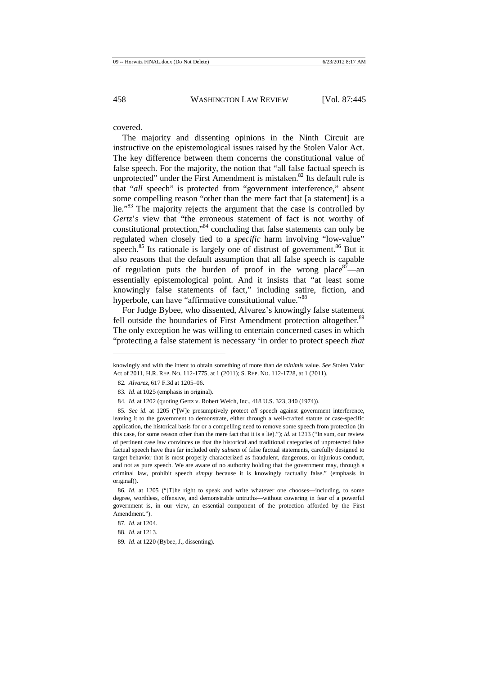covered.

The majority and dissenting opinions in the Ninth Circuit are instructive on the epistemological issues raised by the Stolen Valor Act. The key difference between them concerns the constitutional value of false speech. For the majority, the notion that "all false factual speech is unprotected" under the First Amendment is mistaken. $82$  Its default rule is that "*all* speech" is protected from "government interference," absent some compelling reason "other than the mere fact that [a statement] is a lie."<sup>83</sup> The majority rejects the argument that the case is controlled by *Gertz*'s view that "the erroneous statement of fact is not worthy of constitutional protection,"<sup>84</sup> concluding that false statements can only be regulated when closely tied to a *specific* harm involving "low-value" speech.<sup>85</sup> Its rationale is largely one of distrust of government.<sup>86</sup> But it also reasons that the default assumption that all false speech is capable of regulation puts the burden of proof in the wrong place  $87$ —an essentially epistemological point. And it insists that "at least some knowingly false statements of fact," including satire, fiction, and hyperbole, can have "affirmative constitutional value."<sup>88</sup>

For Judge Bybee, who dissented, Alvarez's knowingly false statement fell outside the boundaries of First Amendment protection altogether.<sup>89</sup> The only exception he was willing to entertain concerned cases in which "protecting a false statement is necessary 'in order to protect speech *that* 

knowingly and with the intent to obtain something of more than *de minimis* value. *See* Stolen Valor Act of 2011, H.R. REP. NO. 112-1775, at 1 (2011); S. REP. NO. 112-1728, at 1 (2011).

<sup>82</sup>*. Alvarez*, 617 F.3d at 1205–06.

<sup>83</sup>*. Id.* at 1025 (emphasis in original).

<sup>84</sup>*. Id.* at 1202 (quoting Gertz v. Robert Welch, Inc., 418 U.S. 323, 340 (1974)).

<sup>85</sup>*. See id.* at 1205 ("[W]e presumptively protect *all* speech against government interference, leaving it to the government to demonstrate, either through a well-crafted statute or case-specific application, the historical basis for or a compelling need to remove some speech from protection (in this case, for some reason other than the mere fact that it is a lie)."); *id.* at 1213 ("In sum, our review of pertinent case law convinces us that the historical and traditional categories of unprotected false factual speech have thus far included only *subsets* of false factual statements, carefully designed to target behavior that is most properly characterized as fraudulent, dangerous, or injurious conduct, and not as pure speech. We are aware of no authority holding that the government may, through a criminal law, prohibit speech *simply* because it is knowingly factually false." (emphasis in original)).

<sup>86</sup>*. Id.* at 1205 ("[T]he right to speak and write whatever one chooses—including, to some degree, worthless, offensive, and demonstrable untruths—without cowering in fear of a powerful government is, in our view, an essential component of the protection afforded by the First Amendment.").

<sup>87</sup>*. Id.* at 1204.

<sup>88</sup>*. Id.* at 1213.

<sup>89</sup>*. Id.* at 1220 (Bybee, J., dissenting).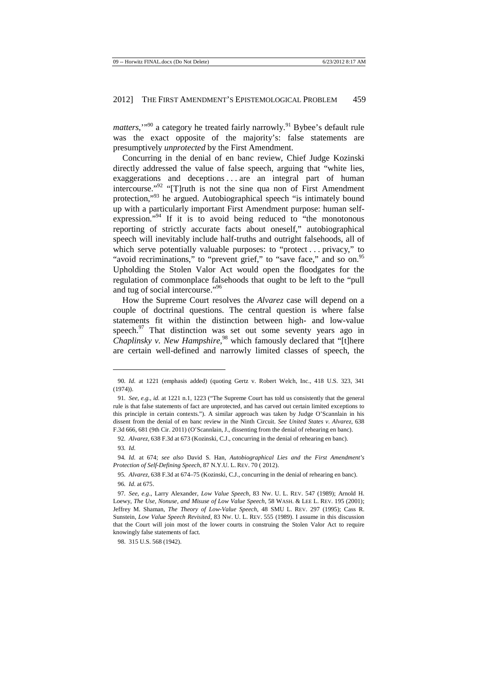*matters*,"<sup>90</sup> a category he treated fairly narrowly.<sup>91</sup> Bybee's default rule was the exact opposite of the majority's: false statements are presumptively *unprotected* by the First Amendment.

Concurring in the denial of en banc review, Chief Judge Kozinski directly addressed the value of false speech, arguing that "white lies, exaggerations and deceptions ... are an integral part of human intercourse."<sup>92</sup> "[T]ruth is not the sine qua non of First Amendment protection,"<sup>93</sup> he argued. Autobiographical speech "is intimately bound up with a particularly important First Amendment purpose: human selfexpression."<sup>94</sup> If it is to avoid being reduced to "the monotonous reporting of strictly accurate facts about oneself," autobiographical speech will inevitably include half-truths and outright falsehoods, all of which serve potentially valuable purposes: to "protect... privacy," to "avoid recriminations," to "prevent grief," to "save face," and so on.<sup>95</sup> Upholding the Stolen Valor Act would open the floodgates for the regulation of commonplace falsehoods that ought to be left to the "pull and tug of social intercourse."<sup>96</sup>

How the Supreme Court resolves the *Alvarez* case will depend on a couple of doctrinal questions. The central question is where false statements fit within the distinction between high- and low-value speech. $97$  That distinction was set out some seventy years ago in *Chaplinsky v. New Hampshire*, <sup>98</sup> which famously declared that "[t]here are certain well-defined and narrowly limited classes of speech, the

 $\overline{a}$ 

98. 315 U.S. 568 (1942).

<sup>90</sup>*. Id.* at 1221 (emphasis added) (quoting Gertz v. Robert Welch, Inc., 418 U.S. 323, 341 (1974)).

<sup>91</sup>*. See, e.g.*, *id.* at 1221 n.1, 1223 ("The Supreme Court has told us consistently that the general rule is that false statements of fact are unprotected, and has carved out certain limited exceptions to this principle in certain contexts."). A similar approach was taken by Judge O'Scannlain in his dissent from the denial of en banc review in the Ninth Circuit. *See United States v. Alvarez*, 638 F.3d 666, 681 (9th Cir. 2011) (O'Scannlain, J., dissenting from the denial of rehearing en banc).

<sup>92</sup>*. Alvarez*, 638 F.3d at 673 (Kozinski, C.J., concurring in the denial of rehearing en banc). 93*. Id.* 

<sup>94</sup>*. Id.* at 674; *see also* David S. Han, *Autobiographical Lies and the First Amendment's Protection of Self-Defining Speech*, 87 N.Y.U. L. REV. 70 ( 2012).

<sup>95</sup>*. Alvarez*, 638 F.3d at 674–75 (Kozinski, C.J., concurring in the denial of rehearing en banc).

<sup>96</sup>*. Id.* at 675.

<sup>97</sup>*. See, e.g.*, Larry Alexander, *Low Value Speech*, 83 NW. U. L. REV. 547 (1989); Arnold H. Loewy, *The Use, Nonuse, and Misuse of Low Value Speech*, 58 WASH. & LEE L. REV. 195 (2001); Jeffrey M. Shaman, *The Theory of Low-Value Speech*, 48 SMU L. REV. 297 (1995); Cass R. Sunstein, *Low Value Speech Revisited*, 83 NW. U. L. REV. 555 (1989). I assume in this discussion that the Court will join most of the lower courts in construing the Stolen Valor Act to require knowingly false statements of fact.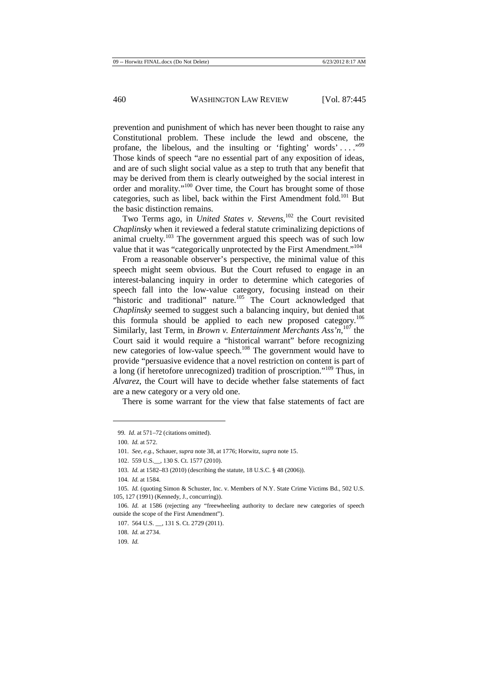prevention and punishment of which has never been thought to raise any Constitutional problem. These include the lewd and obscene, the profane, the libelous, and the insulting or 'fighting' words' ...."<sup>99</sup> Those kinds of speech "are no essential part of any exposition of ideas, and are of such slight social value as a step to truth that any benefit that may be derived from them is clearly outweighed by the social interest in order and morality."<sup>100</sup> Over time, the Court has brought some of those categories, such as libel, back within the First Amendment fold.<sup>101</sup> But the basic distinction remains.

Two Terms ago, in *United States v. Stevens*, <sup>102</sup> the Court revisited *Chaplinsky* when it reviewed a federal statute criminalizing depictions of animal cruelty.<sup>103</sup> The government argued this speech was of such low value that it was "categorically unprotected by the First Amendment."<sup>104</sup>

From a reasonable observer's perspective, the minimal value of this speech might seem obvious. But the Court refused to engage in an interest-balancing inquiry in order to determine which categories of speech fall into the low-value category, focusing instead on their "historic and traditional" nature.<sup>105</sup> The Court acknowledged that *Chaplinsky* seemed to suggest such a balancing inquiry, but denied that this formula should be applied to each new proposed category.<sup>106</sup> Similarly, last Term, in *Brown v. Entertainment Merchants Ass'n*, <sup>107</sup> the Court said it would require a "historical warrant" before recognizing new categories of low-value speech.<sup>108</sup> The government would have to provide "persuasive evidence that a novel restriction on content is part of a long (if heretofore unrecognized) tradition of proscription."<sup>109</sup> Thus, in *Alvarez*, the Court will have to decide whether false statements of fact are a new category or a very old one.

There is some warrant for the view that false statements of fact are

<sup>99</sup>*. Id.* at 571–72 (citations omitted).

<sup>100</sup>*. Id.* at 572.

<sup>101</sup>*. See, e.g.*, Schauer, *supra* note 38, at 1776; Horwitz, *supra* note 15.

<sup>102. 559</sup> U.S.\_\_, 130 S. Ct. 1577 (2010).

<sup>103</sup>*. Id.* at 1582–83 (2010) (describing the statute, 18 U.S.C. § 48 (2006)).

<sup>104</sup>*. Id.* at 1584.

<sup>105</sup>*. Id.* (quoting Simon & Schuster, Inc. v. Members of N.Y. State Crime Victims Bd., 502 U.S. 105, 127 (1991) (Kennedy, J., concurring)).

<sup>106</sup>*. Id.* at 1586 (rejecting any "freewheeling authority to declare new categories of speech outside the scope of the First Amendment").

<sup>107. 564</sup> U.S. \_\_, 131 S. Ct. 2729 (2011).

<sup>108</sup>*. Id.* at 2734.

<sup>109</sup>*. Id.*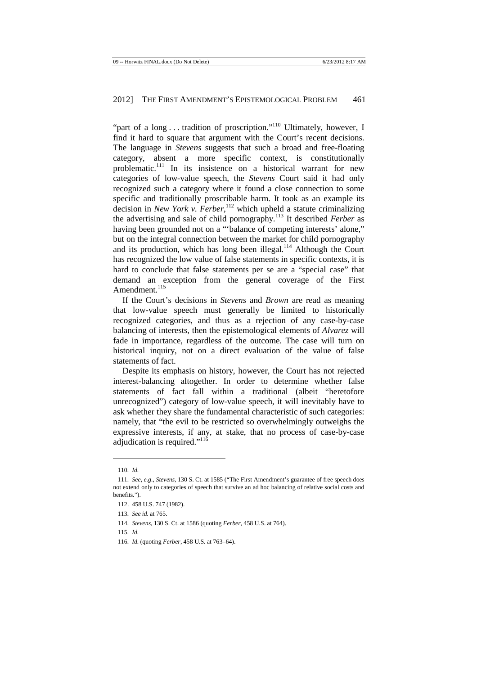"part of a long  $\dots$  tradition of proscription."<sup>110</sup> Ultimately, however, I find it hard to square that argument with the Court's recent decisions. The language in *Stevens* suggests that such a broad and free-floating category, absent a more specific context, is constitutionally problematic.<sup>111</sup> In its insistence on a historical warrant for new categories of low-value speech, the *Stevens* Court said it had only recognized such a category where it found a close connection to some specific and traditionally proscribable harm. It took as an example its decision in *New York v. Ferber*, <sup>112</sup> which upheld a statute criminalizing the advertising and sale of child pornography.<sup>113</sup> It described *Ferber* as having been grounded not on a "'balance of competing interests' alone," but on the integral connection between the market for child pornography and its production, which has long been illegal.<sup>114</sup> Although the Court has recognized the low value of false statements in specific contexts, it is hard to conclude that false statements per se are a "special case" that demand an exception from the general coverage of the First Amendment.<sup>115</sup>

If the Court's decisions in *Stevens* and *Brown* are read as meaning that low-value speech must generally be limited to historically recognized categories, and thus as a rejection of any case-by-case balancing of interests, then the epistemological elements of *Alvarez* will fade in importance, regardless of the outcome. The case will turn on historical inquiry, not on a direct evaluation of the value of false statements of fact.

Despite its emphasis on history, however, the Court has not rejected interest-balancing altogether. In order to determine whether false statements of fact fall within a traditional (albeit "heretofore unrecognized") category of low-value speech, it will inevitably have to ask whether they share the fundamental characteristic of such categories: namely, that "the evil to be restricted so overwhelmingly outweighs the expressive interests, if any, at stake, that no process of case-by-case adjudication is required."<sup>116</sup>

<sup>110</sup>*. Id.*

<sup>111</sup>*. See, e.g.*, *Stevens*, 130 S. Ct. at 1585 ("The First Amendment's guarantee of free speech does not extend only to categories of speech that survive an ad hoc balancing of relative social costs and benefits.").

<sup>112. 458</sup> U.S. 747 (1982).

<sup>113</sup>*. See id.* at 765.

<sup>114</sup>*. Stevens*, 130 S. Ct. at 1586 (quoting *Ferber*, 458 U.S. at 764).

<sup>115</sup>*. Id.* 

<sup>116</sup>*. Id.* (quoting *Ferber*, 458 U.S. at 763–64).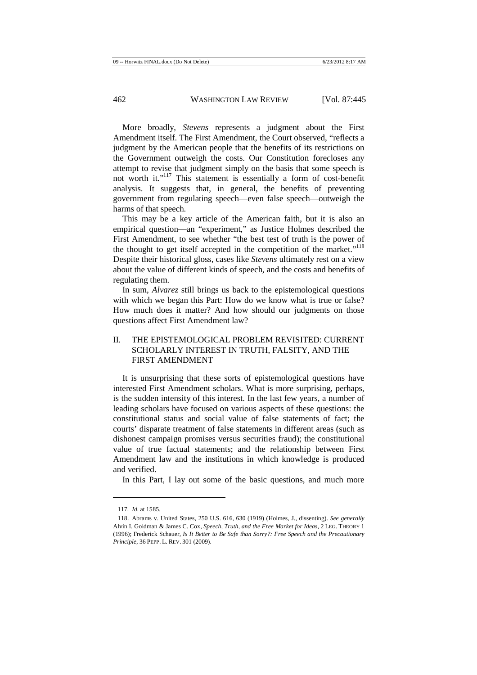More broadly, *Stevens* represents a judgment about the First Amendment itself. The First Amendment, the Court observed, "reflects a judgment by the American people that the benefits of its restrictions on the Government outweigh the costs. Our Constitution forecloses any attempt to revise that judgment simply on the basis that some speech is not worth it."<sup>117</sup> This statement is essentially a form of cost-benefit analysis. It suggests that, in general, the benefits of preventing government from regulating speech—even false speech—outweigh the harms of that speech.

This may be a key article of the American faith, but it is also an empirical question—an "experiment," as Justice Holmes described the First Amendment, to see whether "the best test of truth is the power of the thought to get itself accepted in the competition of the market."<sup>118</sup> Despite their historical gloss, cases like *Stevens* ultimately rest on a view about the value of different kinds of speech, and the costs and benefits of regulating them.

In sum, *Alvarez* still brings us back to the epistemological questions with which we began this Part: How do we know what is true or false? How much does it matter? And how should our judgments on those questions affect First Amendment law?

# II. THE EPISTEMOLOGICAL PROBLEM REVISITED: CURRENT SCHOLARLY INTEREST IN TRUTH, FALSITY, AND THE FIRST AMENDMENT

It is unsurprising that these sorts of epistemological questions have interested First Amendment scholars. What is more surprising, perhaps, is the sudden intensity of this interest. In the last few years, a number of leading scholars have focused on various aspects of these questions: the constitutional status and social value of false statements of fact; the courts' disparate treatment of false statements in different areas (such as dishonest campaign promises versus securities fraud); the constitutional value of true factual statements; and the relationship between First Amendment law and the institutions in which knowledge is produced and verified.

In this Part, I lay out some of the basic questions, and much more

<sup>117</sup>*. Id.* at 1585.

<sup>118.</sup> Abrams v. United States, 250 U.S. 616, 630 (1919) (Holmes, J., dissenting). *See generally*  Alvin I. Goldman & James C. Cox, *Speech, Truth, and the Free Market for Ideas*, 2 LEG. THEORY 1 (1996); Frederick Schauer, *Is It Better to Be Safe than Sorry?: Free Speech and the Precautionary Principle*, 36 PEPP. L. REV. 301 (2009).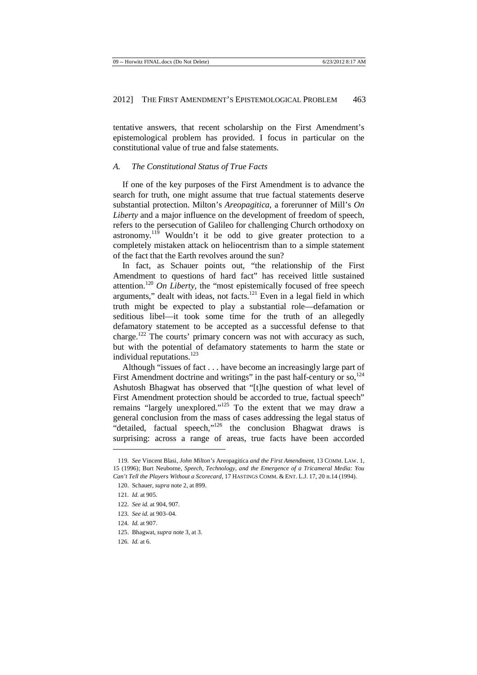tentative answers, that recent scholarship on the First Amendment's epistemological problem has provided. I focus in particular on the constitutional value of true and false statements.

#### *A. The Constitutional Status of True Facts*

If one of the key purposes of the First Amendment is to advance the search for truth, one might assume that true factual statements deserve substantial protection. Milton's *Areopagitica*, a forerunner of Mill's *On Liberty* and a major influence on the development of freedom of speech, refers to the persecution of Galileo for challenging Church orthodoxy on astronomy.<sup>119</sup> Wouldn't it be odd to give greater protection to a completely mistaken attack on heliocentrism than to a simple statement of the fact that the Earth revolves around the sun?

In fact, as Schauer points out, "the relationship of the First Amendment to questions of hard fact" has received little sustained attention.<sup>120</sup> *On Liberty*, the "most epistemically focused of free speech arguments," dealt with ideas, not facts,  $121$  Even in a legal field in which truth might be expected to play a substantial role—defamation or seditious libel—it took some time for the truth of an allegedly defamatory statement to be accepted as a successful defense to that charge.<sup>122</sup> The courts' primary concern was not with accuracy as such, but with the potential of defamatory statements to harm the state or individual reputations.<sup>123</sup>

Although "issues of fact . . . have become an increasingly large part of First Amendment doctrine and writings" in the past half-century or so, $^{124}$ Ashutosh Bhagwat has observed that "[t]he question of what level of First Amendment protection should be accorded to true, factual speech" remains "largely unexplored."<sup>125</sup> To the extent that we may draw a general conclusion from the mass of cases addressing the legal status of "detailed, factual speech,"<sup>126</sup> the conclusion Bhagwat draws is surprising: across a range of areas, true facts have been accorded

- 125. Bhagwat, *supra* note 3, at 3.
- 126*. Id.* at 6.

<sup>119</sup>*. See* Vincent Blasi, *John Milton's* Areopagitica *and the First Amendment*, 13 COMM. LAW. 1, 15 (1996); Burt Neuborne, *Speech, Technology, and the Emergence of a Tricameral Media: You Can't Tell the Players Without a Scorecard*, 17 HASTINGS COMM. & ENT. L.J. 17, 20 n.14 (1994).

<sup>120.</sup> Schauer, *supra* note 2, at 899.

<sup>121</sup>*. Id.* at 905.

<sup>122</sup>*. See id.* at 904, 907.

<sup>123</sup>*. See id.* at 903–04.

<sup>124</sup>*. Id.* at 907.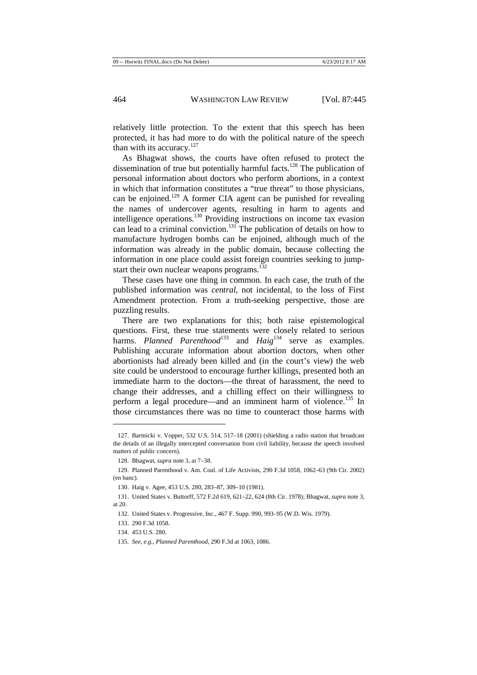relatively little protection. To the extent that this speech has been protected, it has had more to do with the political nature of the speech than with its accuracy. $127$ 

As Bhagwat shows, the courts have often refused to protect the dissemination of true but potentially harmful facts.<sup>128</sup> The publication of personal information about doctors who perform abortions, in a context in which that information constitutes a "true threat" to those physicians, can be enjoined.<sup>129</sup> A former CIA agent can be punished for revealing the names of undercover agents, resulting in harm to agents and intelligence operations.<sup>130</sup> Providing instructions on income tax evasion can lead to a criminal conviction.<sup>131</sup> The publication of details on how to manufacture hydrogen bombs can be enjoined, although much of the information was already in the public domain, because collecting the information in one place could assist foreign countries seeking to jumpstart their own nuclear weapons programs.<sup>132</sup>

These cases have one thing in common. In each case, the truth of the published information was *central*, not incidental, to the loss of First Amendment protection. From a truth-seeking perspective, those are puzzling results.

There are two explanations for this; both raise epistemological questions. First, these true statements were closely related to serious harms. *Planned Parenthood*<sup>133</sup> and *Haig*<sup>134</sup> serve as examples. Publishing accurate information about abortion doctors, when other abortionists had already been killed and (in the court's view) the web site could be understood to encourage further killings, presented both an immediate harm to the doctors—the threat of harassment, the need to change their addresses, and a chilling effect on their willingness to perform a legal procedure—and an imminent harm of violence.<sup>135</sup> In those circumstances there was no time to counteract those harms with

<sup>127.</sup> Bartnicki v. Vopper, 532 U.S. 514, 517–18 (2001) (shielding a radio station that broadcast the details of an illegally intercepted conversation from civil liability, because the speech involved matters of public concern).

<sup>128.</sup> Bhagwat, *supra* note 3, at 7–38.

<sup>129.</sup> Planned Parenthood v. Am. Coal. of Life Activists, 290 F.3d 1058, 1062–63 (9th Cir. 2002) (en banc).

<sup>130.</sup> Haig v. Agee, 453 U.S. 280, 283–87, 309–10 (1981).

<sup>131.</sup> United States v. Buttorff, 572 F.2d 619, 621–22, 624 (8th Cir. 1978); Bhagwat, *supra* note 3, at 20.

<sup>132.</sup> United States v. Progressive, Inc., 467 F. Supp. 990, 993–95 (W.D. Wis. 1979).

<sup>133. 290</sup> F.3d 1058.

<sup>134. 453</sup> U.S. 280.

<sup>135</sup>*. See, e.g.*, *Planned Parenthood*, 290 F.3d at 1063, 1086.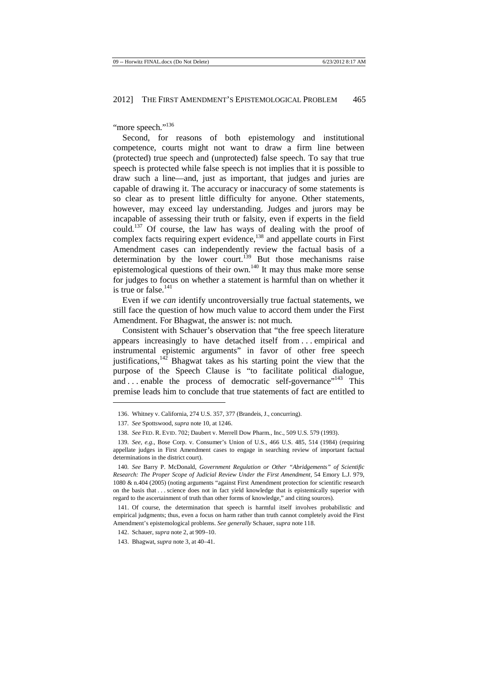"more speech."<sup>136</sup>

Second, for reasons of both epistemology and institutional competence, courts might not want to draw a firm line between (protected) true speech and (unprotected) false speech. To say that true speech is protected while false speech is not implies that it is possible to draw such a line—and, just as important, that judges and juries are capable of drawing it. The accuracy or inaccuracy of some statements is so clear as to present little difficulty for anyone. Other statements, however, may exceed lay understanding. Judges and jurors may be incapable of assessing their truth or falsity, even if experts in the field could.<sup>137</sup> Of course, the law has ways of dealing with the proof of complex facts requiring expert evidence,<sup>138</sup> and appellate courts in First Amendment cases can independently review the factual basis of a determination by the lower court.<sup>139</sup> But those mechanisms raise epistemological questions of their own.<sup>140</sup> It may thus make more sense for judges to focus on whether a statement is harmful than on whether it is true or false. $141$ 

Even if we *can* identify uncontroversially true factual statements, we still face the question of how much value to accord them under the First Amendment. For Bhagwat, the answer is: not much.

Consistent with Schauer's observation that "the free speech literature appears increasingly to have detached itself from . . . empirical and instrumental epistemic arguments" in favor of other free speech justifications, $142$  Bhagwat takes as his starting point the view that the purpose of the Speech Clause is "to facilitate political dialogue, and ... enable the process of democratic self-governance"<sup>143</sup> This premise leads him to conclude that true statements of fact are entitled to

<sup>136.</sup> Whitney v. California, 274 U.S. 357, 377 (Brandeis, J., concurring).

<sup>137</sup>*. See* Spottswood, *supra* note 10, at 1246.

<sup>138</sup>*. See* FED. R. EVID. 702; Daubert v. Merrell Dow Pharm., Inc., 509 U.S. 579 (1993).

<sup>139</sup>*. See, e.g.*, Bose Corp. v. Consumer's Union of U.S., 466 U.S. 485, 514 (1984) (requiring appellate judges in First Amendment cases to engage in searching review of important factual determinations in the district court).

<sup>140</sup>*. See* Barry P. McDonald, *Government Regulation or Other "Abridgements" of Scientific Research: The Proper Scope of Judicial Review Under the First Amendment*, 54 Emory L.J. 979, 1080 & n.404 (2005) (noting arguments "against First Amendment protection for scientific research on the basis that . . . science does not in fact yield knowledge that is epistemically superior with regard to the ascertainment of truth than other forms of knowledge," and citing sources).

<sup>141.</sup> Of course, the determination that speech is harmful itself involves probabilistic and empirical judgments; thus, even a focus on harm rather than truth cannot completely avoid the First Amendment's epistemological problems. *See generally* Schauer, *supra* note 118.

<sup>142.</sup> Schauer, *supra* note 2, at 909–10.

<sup>143.</sup> Bhagwat, *supra* note 3, at 40–41.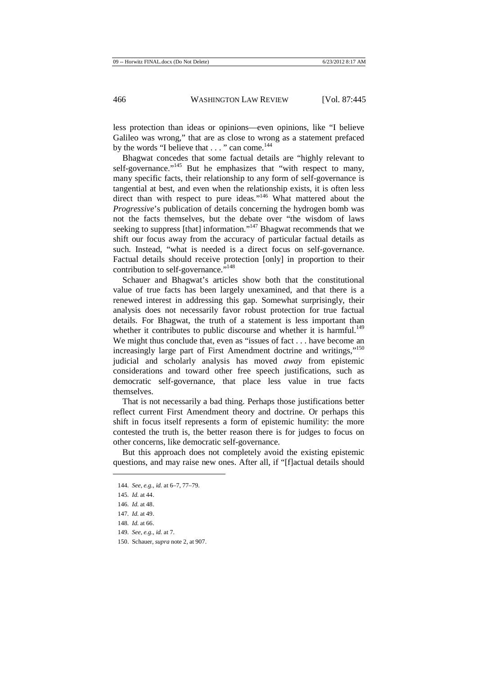less protection than ideas or opinions—even opinions, like "I believe Galileo was wrong," that are as close to wrong as a statement prefaced by the words "I believe that  $\ldots$ " can come.<sup>144</sup>

Bhagwat concedes that some factual details are "highly relevant to self-governance."<sup>145</sup> But he emphasizes that "with respect to many, many specific facts, their relationship to any form of self-governance is tangential at best, and even when the relationship exists, it is often less direct than with respect to pure ideas."<sup>146</sup> What mattered about the *Progressive*'s publication of details concerning the hydrogen bomb was not the facts themselves, but the debate over "the wisdom of laws seeking to suppress [that] information."<sup>147</sup> Bhagwat recommends that we shift our focus away from the accuracy of particular factual details as such. Instead, "what is needed is a direct focus on self-governance. Factual details should receive protection [only] in proportion to their contribution to self-governance."<sup>148</sup>

Schauer and Bhagwat's articles show both that the constitutional value of true facts has been largely unexamined, and that there is a renewed interest in addressing this gap. Somewhat surprisingly, their analysis does not necessarily favor robust protection for true factual details. For Bhagwat, the truth of a statement is less important than whether it contributes to public discourse and whether it is harmful.<sup>149</sup> We might thus conclude that, even as "issues of fact . . . have become an increasingly large part of First Amendment doctrine and writings,"<sup>150</sup> judicial and scholarly analysis has moved *away* from epistemic considerations and toward other free speech justifications, such as democratic self-governance, that place less value in true facts themselves.

That is not necessarily a bad thing. Perhaps those justifications better reflect current First Amendment theory and doctrine. Or perhaps this shift in focus itself represents a form of epistemic humility: the more contested the truth is, the better reason there is for judges to focus on other concerns, like democratic self-governance.

But this approach does not completely avoid the existing epistemic questions, and may raise new ones. After all, if "[f]actual details should

<sup>144</sup>*. See, e.g.*, *id.* at 6–7, 77–79.

<sup>145</sup>*. Id.* at 44.

<sup>146</sup>*. Id.* at 48.

<sup>147</sup>*. Id.* at 49.

<sup>148</sup>*. Id.* at 66.

<sup>149</sup>*. See, e.g., id.* at 7.

<sup>150.</sup> Schauer, *supra* note 2, at 907.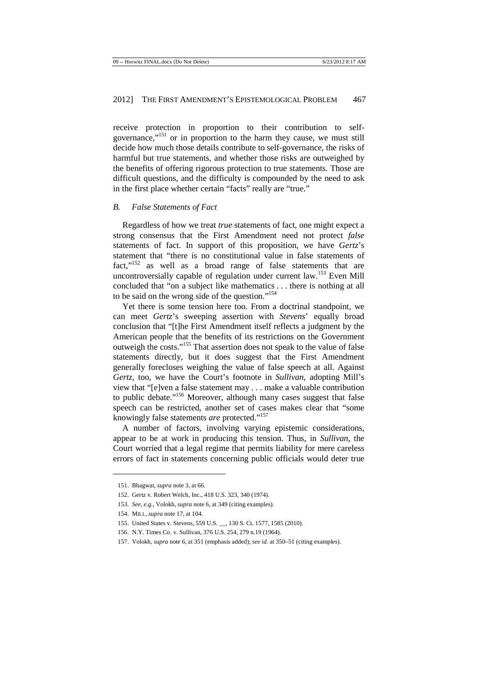receive protection in proportion to their contribution to selfgovernance,"<sup>151</sup> or in proportion to the harm they cause, we must still decide how much those details contribute to self-governance, the risks of harmful but true statements, and whether those risks are outweighed by the benefits of offering rigorous protection to true statements. Those are difficult questions, and the difficulty is compounded by the need to ask in the first place whether certain "facts" really are "true."

#### *B. False Statements of Fact*

Regardless of how we treat *true* statements of fact, one might expect a strong consensus that the First Amendment need not protect *false*  statements of fact. In support of this proposition, we have *Gertz*'s statement that "there is no constitutional value in false statements of fact,"<sup>152</sup> as well as a broad range of false statements that are uncontroversially capable of regulation under current law.<sup>153</sup> Even Mill concluded that "on a subject like mathematics . . . there is nothing at all to be said on the wrong side of the question."<sup>154</sup>

Yet there is some tension here too. From a doctrinal standpoint, we can meet *Gertz*'s sweeping assertion with *Stevens*' equally broad conclusion that "[t]he First Amendment itself reflects a judgment by the American people that the benefits of its restrictions on the Government outweigh the costs."<sup>155</sup> That assertion does not speak to the value of false statements directly, but it does suggest that the First Amendment generally forecloses weighing the value of false speech at all. Against *Gertz*, too, we have the Court's footnote in *Sullivan*, adopting Mill's view that "[e]ven a false statement may . . . make a valuable contribution to public debate."<sup>156</sup> Moreover, although many cases suggest that false speech can be restricted, another set of cases makes clear that "some knowingly false statements *are* protected."<sup>157</sup>

A number of factors, involving varying epistemic considerations, appear to be at work in producing this tension. Thus, in *Sullivan*, the Court worried that a legal regime that permits liability for mere careless errors of fact in statements concerning public officials would deter true

<sup>151.</sup> Bhagwat, *supra* note 3, at 66.

<sup>152.</sup> Gertz v. Robert Welch, Inc., 418 U.S. 323, 340 (1974).

<sup>153</sup>*. See, e.g.*, Volokh, *supra* note 6, at 349 (citing examples).

<sup>154.</sup> MILL, *supra* note 17, at 104.

<sup>155.</sup> United States v. Stevens, 559 U.S. \_\_, 130 S. Ct. 1577, 1585 (2010).

<sup>156.</sup> N.Y. Times Co. v. Sullivan, 376 U.S. 254, 279 n.19 (1964).

<sup>157.</sup> Volokh, *supra* note 6, at 351 (emphasis added); *see id.* at 350–51 (citing examples).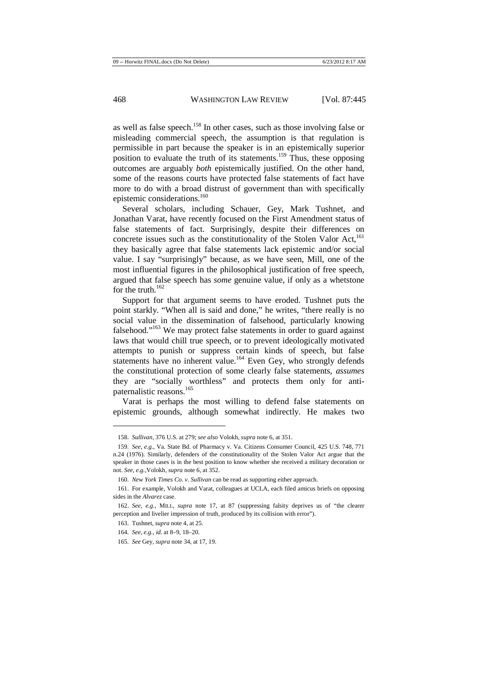as well as false speech.<sup>158</sup> In other cases, such as those involving false or misleading commercial speech, the assumption is that regulation is permissible in part because the speaker is in an epistemically superior position to evaluate the truth of its statements.<sup>159</sup> Thus, these opposing outcomes are arguably *both* epistemically justified. On the other hand, some of the reasons courts have protected false statements of fact have more to do with a broad distrust of government than with specifically epistemic considerations.<sup>160</sup>

Several scholars, including Schauer, Gey, Mark Tushnet, and Jonathan Varat, have recently focused on the First Amendment status of false statements of fact. Surprisingly, despite their differences on concrete issues such as the constitutionality of the Stolen Valor Act, $^{161}$ they basically agree that false statements lack epistemic and/or social value. I say "surprisingly" because, as we have seen, Mill, one of the most influential figures in the philosophical justification of free speech, argued that false speech has *some* genuine value, if only as a whetstone for the truth. $162$ 

Support for that argument seems to have eroded. Tushnet puts the point starkly. "When all is said and done," he writes, "there really is no social value in the dissemination of falsehood, particularly knowing falsehood."<sup>163</sup> We may protect false statements in order to guard against laws that would chill true speech, or to prevent ideologically motivated attempts to punish or suppress certain kinds of speech, but false statements have no inherent value.<sup>164</sup> Even Gey, who strongly defends the constitutional protection of some clearly false statements, *assumes*  they are "socially worthless" and protects them only for antipaternalistic reasons.<sup>165</sup>

Varat is perhaps the most willing to defend false statements on epistemic grounds, although somewhat indirectly. He makes two

<sup>158</sup>*. Sullivan*, 376 U.S. at 279; *see also* Volokh, *supra* note 6, at 351.

<sup>159</sup>*. See, e.g.*, Va. State Bd. of Pharmacy v. Va. Citizens Consumer Council, 425 U.S. 748, 771 n.24 (1976). Similarly, defenders of the constitutionality of the Stolen Valor Act argue that the speaker in those cases is in the best position to know whether she received a military decoration or not. *See, e.g.*,Volokh, *supra* note 6, at 352.

<sup>160</sup>*. New York Times Co. v. Sullivan* can be read as supporting either approach.

<sup>161.</sup> For example, Volokh and Varat, colleagues at UCLA, each filed amicus briefs on opposing sides in the *Alvarez* case.

<sup>162.</sup> *See, e.g.*, MILL, *supra* note 17, at 87 (suppressing falsity deprives us of "the clearer perception and livelier impression of truth, produced by its collision with error").

<sup>163.</sup> Tushnet, *supra* note 4, at 25.

<sup>164</sup>*. See, e.g.*, *id.* at 8–9, 18–20.

<sup>165</sup>*. See* Gey, *supra* note 34, at 17, 19.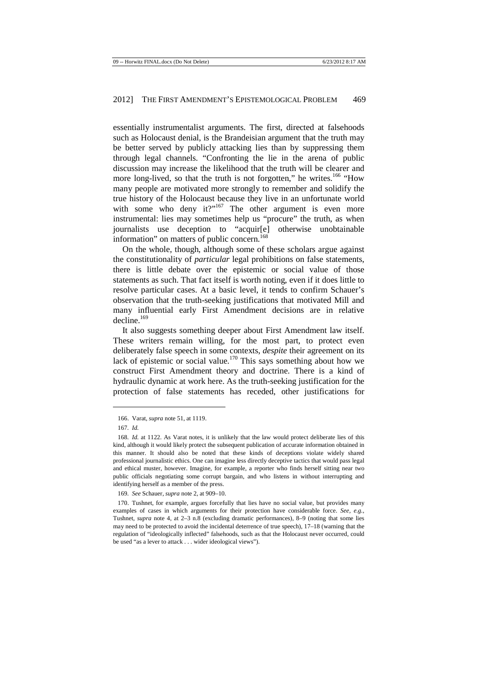essentially instrumentalist arguments. The first, directed at falsehoods such as Holocaust denial, is the Brandeisian argument that the truth may be better served by publicly attacking lies than by suppressing them through legal channels. "Confronting the lie in the arena of public discussion may increase the likelihood that the truth will be clearer and more long-lived, so that the truth is not forgotten," he writes.<sup>166</sup> "How many people are motivated more strongly to remember and solidify the true history of the Holocaust because they live in an unfortunate world with some who deny it?"<sup>167</sup> The other argument is even more instrumental: lies may sometimes help us "procure" the truth, as when journalists use deception to "acquir[e] otherwise unobtainable information" on matters of public concern.<sup>168</sup>

On the whole, though, although some of these scholars argue against the constitutionality of *particular* legal prohibitions on false statements, there is little debate over the epistemic or social value of those statements as such. That fact itself is worth noting, even if it does little to resolve particular cases. At a basic level, it tends to confirm Schauer's observation that the truth-seeking justifications that motivated Mill and many influential early First Amendment decisions are in relative  $decline<sup>169</sup>$ 

It also suggests something deeper about First Amendment law itself. These writers remain willing, for the most part, to protect even deliberately false speech in some contexts, *despite* their agreement on its lack of epistemic or social value.<sup>170</sup> This says something about how we construct First Amendment theory and doctrine. There is a kind of hydraulic dynamic at work here. As the truth-seeking justification for the protection of false statements has receded, other justifications for

 $\ddot{ }$ 

<sup>166.</sup> Varat, *supra* note 51, at 1119.

<sup>167</sup>*. Id.* 

<sup>168</sup>*. Id.* at 1122. As Varat notes, it is unlikely that the law would protect deliberate lies of this kind, although it would likely protect the subsequent publication of accurate information obtained in this manner. It should also be noted that these kinds of deceptions violate widely shared professional journalistic ethics. One can imagine less directly deceptive tactics that would pass legal and ethical muster, however. Imagine, for example, a reporter who finds herself sitting near two public officials negotiating some corrupt bargain, and who listens in without interrupting and identifying herself as a member of the press.

<sup>169</sup>*. See* Schauer, *supra* note 2, at 909–10.

<sup>170.</sup> Tushnet, for example, argues forcefully that lies have no social value, but provides many examples of cases in which arguments for their protection have considerable force. *See, e.g.*, Tushnet, *supra* note 4, at 2–3 n.8 (excluding dramatic performances), 8–9 (noting that some lies may need to be protected to avoid the incidental deterrence of true speech), 17–18 (warning that the regulation of "ideologically inflected" falsehoods, such as that the Holocaust never occurred, could be used "as a lever to attack . . . wider ideological views").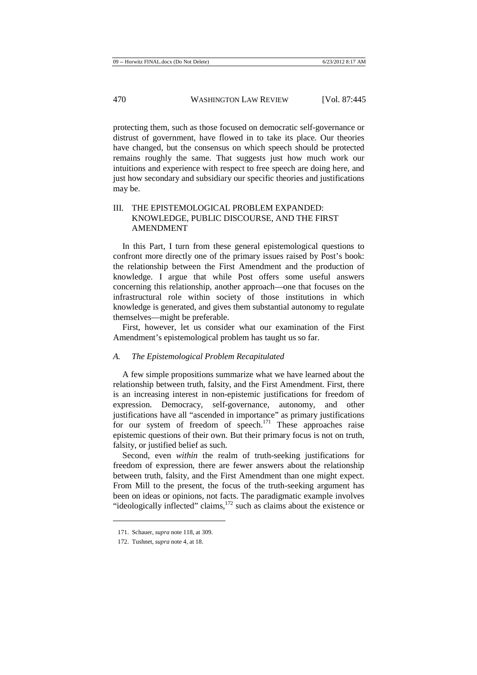protecting them, such as those focused on democratic self-governance or distrust of government, have flowed in to take its place. Our theories have changed, but the consensus on which speech should be protected remains roughly the same. That suggests just how much work our intuitions and experience with respect to free speech are doing here, and just how secondary and subsidiary our specific theories and justifications may be.

## III. THE EPISTEMOLOGICAL PROBLEM EXPANDED: KNOWLEDGE, PUBLIC DISCOURSE, AND THE FIRST AMENDMENT

In this Part, I turn from these general epistemological questions to confront more directly one of the primary issues raised by Post's book: the relationship between the First Amendment and the production of knowledge. I argue that while Post offers some useful answers concerning this relationship, another approach—one that focuses on the infrastructural role within society of those institutions in which knowledge is generated, and gives them substantial autonomy to regulate themselves—might be preferable.

First, however, let us consider what our examination of the First Amendment's epistemological problem has taught us so far.

#### *A. The Epistemological Problem Recapitulated*

A few simple propositions summarize what we have learned about the relationship between truth, falsity, and the First Amendment. First, there is an increasing interest in non-epistemic justifications for freedom of expression. Democracy, self-governance, autonomy, and other justifications have all "ascended in importance" as primary justifications for our system of freedom of speech.<sup>171</sup> These approaches raise epistemic questions of their own. But their primary focus is not on truth, falsity, or justified belief as such.

Second, even *within* the realm of truth-seeking justifications for freedom of expression, there are fewer answers about the relationship between truth, falsity, and the First Amendment than one might expect. From Mill to the present, the focus of the truth-seeking argument has been on ideas or opinions, not facts. The paradigmatic example involves "ideologically inflected" claims,<sup>172</sup> such as claims about the existence or

<sup>171.</sup> Schauer, *supra* note 118, at 309.

<sup>172.</sup> Tushnet, *supra* note 4, at 18.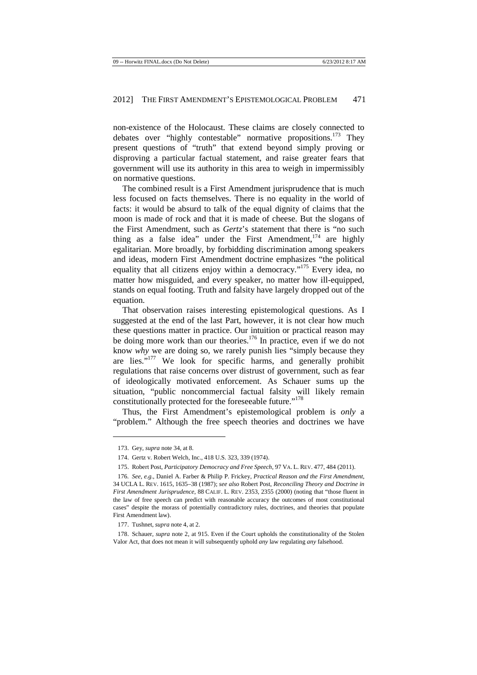non-existence of the Holocaust. These claims are closely connected to debates over "highly contestable" normative propositions.<sup>173</sup> They present questions of "truth" that extend beyond simply proving or disproving a particular factual statement, and raise greater fears that government will use its authority in this area to weigh in impermissibly on normative questions.

The combined result is a First Amendment jurisprudence that is much less focused on facts themselves. There is no equality in the world of facts: it would be absurd to talk of the equal dignity of claims that the moon is made of rock and that it is made of cheese. But the slogans of the First Amendment, such as *Gertz*'s statement that there is "no such thing as a false idea" under the First Amendment,<sup>174</sup> are highly egalitarian. More broadly, by forbidding discrimination among speakers and ideas, modern First Amendment doctrine emphasizes "the political equality that all citizens enjoy within a democracy."<sup>175</sup> Every idea, no matter how misguided, and every speaker, no matter how ill-equipped, stands on equal footing. Truth and falsity have largely dropped out of the equation.

That observation raises interesting epistemological questions. As I suggested at the end of the last Part, however, it is not clear how much these questions matter in practice. Our intuition or practical reason may be doing more work than our theories.<sup>176</sup> In practice, even if we do not know *why* we are doing so, we rarely punish lies "simply because they are lies."<sup>177</sup> We look for specific harms, and generally prohibit regulations that raise concerns over distrust of government, such as fear of ideologically motivated enforcement. As Schauer sums up the situation, "public noncommercial factual falsity will likely remain constitutionally protected for the foreseeable future."<sup>178</sup>

Thus, the First Amendment's epistemological problem is *only* a "problem." Although the free speech theories and doctrines we have

<sup>173.</sup> Gey, *supra* note 34, at 8.

<sup>174.</sup> Gertz v. Robert Welch, Inc., 418 U.S. 323, 339 (1974).

<sup>175.</sup> Robert Post, *Participatory Democracy and Free Speech*, 97 VA. L. REV. 477, 484 (2011).

<sup>176</sup>*. See, e.g.*, Daniel A. Farber & Philip P. Frickey, *Practical Reason and the First Amendment*, 34 UCLA L. REV. 1615, 1635–38 (1987); *see also* Robert Post, *Reconciling Theory and Doctrine in First Amendment Jurisprudence*, 88 CALIF. L. REV. 2353, 2355 (2000) (noting that "those fluent in the law of free speech can predict with reasonable accuracy the outcomes of most constitutional cases" despite the morass of potentially contradictory rules, doctrines, and theories that populate First Amendment law).

<sup>177.</sup> Tushnet, *supra* note 4, at 2.

<sup>178.</sup> Schauer, *supra* note 2, at 915. Even if the Court upholds the constitutionality of the Stolen Valor Act, that does not mean it will subsequently uphold *any* law regulating *any* falsehood.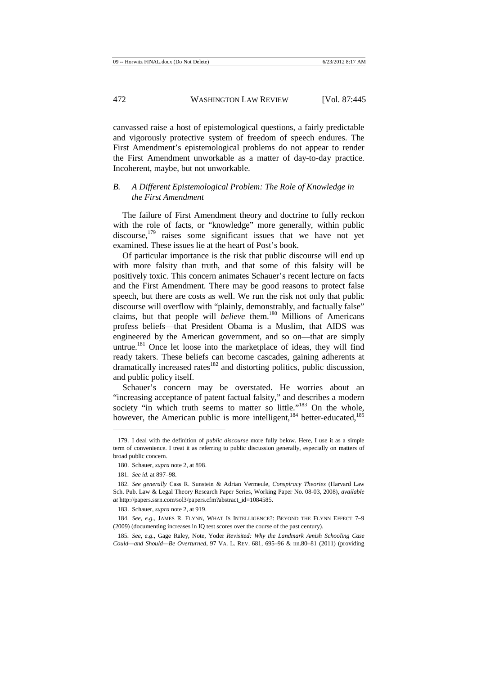canvassed raise a host of epistemological questions, a fairly predictable and vigorously protective system of freedom of speech endures. The First Amendment's epistemological problems do not appear to render the First Amendment unworkable as a matter of day-to-day practice. Incoherent, maybe, but not unworkable.

## *B. A Different Epistemological Problem: The Role of Knowledge in the First Amendment*

The failure of First Amendment theory and doctrine to fully reckon with the role of facts, or "knowledge" more generally, within public  $discourse$ ,  $^{179}$  raises some significant issues that we have not yet examined. These issues lie at the heart of Post's book.

Of particular importance is the risk that public discourse will end up with more falsity than truth, and that some of this falsity will be positively toxic. This concern animates Schauer's recent lecture on facts and the First Amendment. There may be good reasons to protect false speech, but there are costs as well. We run the risk not only that public discourse will overflow with "plainly, demonstrably, and factually false" claims, but that people will *believe* them.<sup>180</sup> Millions of Americans profess beliefs—that President Obama is a Muslim, that AIDS was engineered by the American government, and so on—that are simply untrue.<sup>181</sup> Once let loose into the marketplace of ideas, they will find ready takers. These beliefs can become cascades, gaining adherents at dramatically increased rates<sup>182</sup> and distorting politics, public discussion, and public policy itself.

Schauer's concern may be overstated. He worries about an "increasing acceptance of patent factual falsity," and describes a modern society "in which truth seems to matter so little."<sup>183</sup> On the whole, however, the American public is more intelligent,<sup>184</sup> better-educated,<sup>185</sup>

<sup>179.</sup> I deal with the definition of *public discourse* more fully below. Here, I use it as a simple term of convenience. I treat it as referring to public discussion generally, especially on matters of broad public concern.

<sup>180.</sup> Schauer, *supra* note 2, at 898.

<sup>181</sup>*. See id.* at 897–98.

<sup>182</sup>*. See generally* Cass R. Sunstein & Adrian Vermeule, *Conspiracy Theories* (Harvard Law Sch. Pub. Law & Legal Theory Research Paper Series, Working Paper No. 08-03, 2008), *available at* http://papers.ssrn.com/sol3/papers.cfm?abstract\_id=1084585.

<sup>183.</sup> Schauer, *supra* note 2, at 919.

<sup>184</sup>*. See, e.g.*, JAMES R. FLYNN, WHAT IS INTELLIGENCE?: BEYOND THE FLYNN EFFECT 7–9 (2009) (documenting increases in IQ test scores over the course of the past century).

<sup>185</sup>*. See, e.g.*, Gage Raley, Note, Yoder *Revisited: Why the Landmark Amish Schooling Case Could—and Should—Be Overturned*, 97 VA. L. REV. 681, 695–96 & nn.80–81 (2011) (providing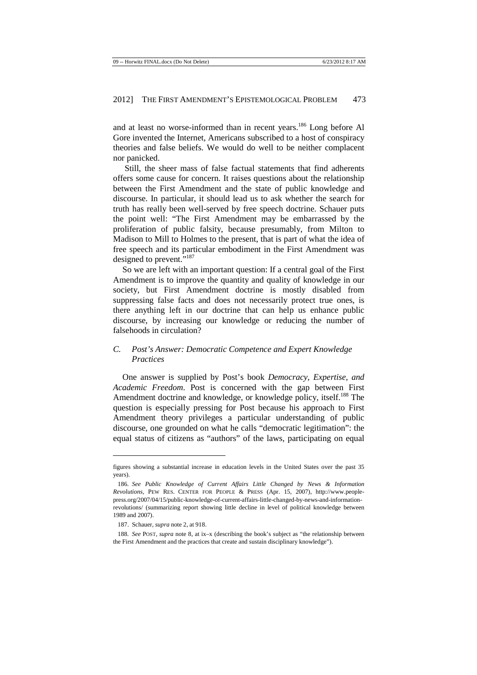and at least no worse-informed than in recent years.<sup>186</sup> Long before Al Gore invented the Internet, Americans subscribed to a host of conspiracy theories and false beliefs. We would do well to be neither complacent nor panicked.

 Still, the sheer mass of false factual statements that find adherents offers some cause for concern. It raises questions about the relationship between the First Amendment and the state of public knowledge and discourse. In particular, it should lead us to ask whether the search for truth has really been well-served by free speech doctrine. Schauer puts the point well: "The First Amendment may be embarrassed by the proliferation of public falsity, because presumably, from Milton to Madison to Mill to Holmes to the present, that is part of what the idea of free speech and its particular embodiment in the First Amendment was designed to prevent."<sup>187</sup>

So we are left with an important question: If a central goal of the First Amendment is to improve the quantity and quality of knowledge in our society, but First Amendment doctrine is mostly disabled from suppressing false facts and does not necessarily protect true ones, is there anything left in our doctrine that can help us enhance public discourse, by increasing our knowledge or reducing the number of falsehoods in circulation?

## *C. Post's Answer: Democratic Competence and Expert Knowledge Practices*

One answer is supplied by Post's book *Democracy, Expertise, and Academic Freedom*. Post is concerned with the gap between First Amendment doctrine and knowledge, or knowledge policy, itself.<sup>188</sup> The question is especially pressing for Post because his approach to First Amendment theory privileges a particular understanding of public discourse, one grounded on what he calls "democratic legitimation": the equal status of citizens as "authors" of the laws, participating on equal

figures showing a substantial increase in education levels in the United States over the past 35 years).

<sup>186</sup>*. See Public Knowledge of Current Affairs Little Changed by News & Information Revolutions*, PEW RES. CENTER FOR PEOPLE & PRESS (Apr. 15, 2007), http://www.peoplepress.org/2007/04/15/public-knowledge-of-current-affairs-little-changed-by-news-and-informationrevolutions/ (summarizing report showing little decline in level of political knowledge between 1989 and 2007).

<sup>187.</sup> Schauer, *supra* note 2, at 918.

<sup>188</sup>*. See* POST, *supra* note 8, at ix–x (describing the book's subject as "the relationship between the First Amendment and the practices that create and sustain disciplinary knowledge").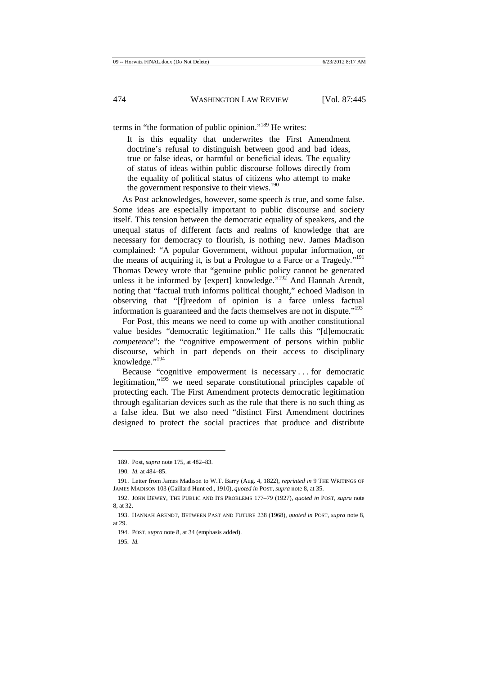terms in "the formation of public opinion."<sup>189</sup> He writes:

It is this equality that underwrites the First Amendment doctrine's refusal to distinguish between good and bad ideas, true or false ideas, or harmful or beneficial ideas. The equality of status of ideas within public discourse follows directly from the equality of political status of citizens who attempt to make the government responsive to their views.<sup>190</sup>

As Post acknowledges, however, some speech *is* true, and some false. Some ideas are especially important to public discourse and society itself. This tension between the democratic equality of speakers, and the unequal status of different facts and realms of knowledge that are necessary for democracy to flourish, is nothing new. James Madison complained: "A popular Government, without popular information, or the means of acquiring it, is but a Prologue to a Farce or a Tragedy."<sup>191</sup> Thomas Dewey wrote that "genuine public policy cannot be generated unless it be informed by [expert] knowledge."<sup>192</sup> And Hannah Arendt, noting that "factual truth informs political thought," echoed Madison in observing that "[f]reedom of opinion is a farce unless factual information is guaranteed and the facts themselves are not in dispute."<sup>193</sup>

For Post, this means we need to come up with another constitutional value besides "democratic legitimation." He calls this "[d]emocratic *competence*": the "cognitive empowerment of persons within public discourse, which in part depends on their access to disciplinary knowledge."<sup>194</sup>

Because "cognitive empowerment is necessary . . . for democratic legitimation,"<sup>195</sup> we need separate constitutional principles capable of protecting each. The First Amendment protects democratic legitimation through egalitarian devices such as the rule that there is no such thing as a false idea. But we also need "distinct First Amendment doctrines designed to protect the social practices that produce and distribute

<sup>189.</sup> Post, *supra* note 175, at 482–83.

<sup>190</sup>*. Id.* at 484–85.

<sup>191.</sup> Letter from James Madison to W.T. Barry (Aug. 4, 1822), *reprinted in* 9 THE WRITINGS OF JAMES MADISON 103 (Gaillard Hunt ed., 1910), *quoted in* POST, *supra* note 8, at 35.

<sup>192.</sup> JOHN DEWEY, THE PUBLIC AND ITS PROBLEMS 177–79 (1927), *quoted in* POST, *supra* note 8, at 32.

<sup>193.</sup> HANNAH ARENDT, BETWEEN PAST AND FUTURE 238 (1968), *quoted in* POST, *supra* note 8, at 29.

<sup>194.</sup> POST, *supra* note 8, at 34 (emphasis added).

<sup>195</sup>*. Id.*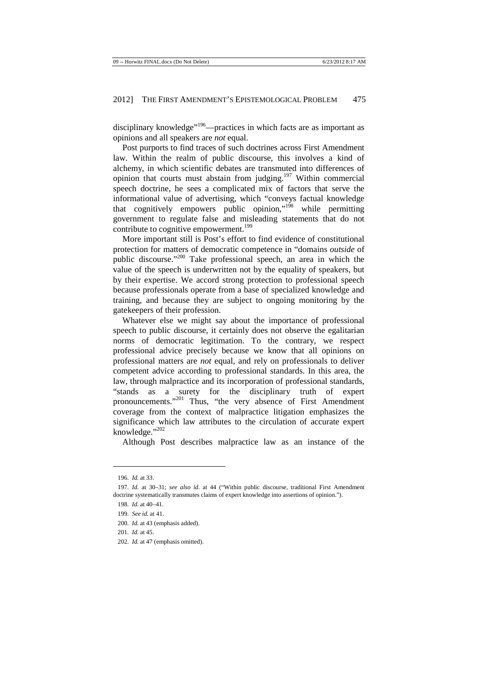disciplinary knowledge"<sup>196</sup>—practices in which facts are as important as opinions and all speakers are *not* equal.

Post purports to find traces of such doctrines across First Amendment law. Within the realm of public discourse, this involves a kind of alchemy, in which scientific debates are transmuted into differences of opinion that courts must abstain from judging.<sup>197</sup> Within commercial speech doctrine, he sees a complicated mix of factors that serve the informational value of advertising, which "conveys factual knowledge that cognitively empowers public opinion,"<sup>198</sup> while permitting government to regulate false and misleading statements that do not contribute to cognitive empowerment.<sup>199</sup>

More important still is Post's effort to find evidence of constitutional protection for matters of democratic competence in "domains *outside* of public discourse."<sup>200</sup> Take professional speech, an area in which the value of the speech is underwritten not by the equality of speakers, but by their expertise. We accord strong protection to professional speech because professionals operate from a base of specialized knowledge and training, and because they are subject to ongoing monitoring by the gatekeepers of their profession.

Whatever else we might say about the importance of professional speech to public discourse, it certainly does not observe the egalitarian norms of democratic legitimation. To the contrary, we respect professional advice precisely because we know that all opinions on professional matters are *not* equal, and rely on professionals to deliver competent advice according to professional standards. In this area, the law, through malpractice and its incorporation of professional standards, "stands as a surety for the disciplinary truth of expert pronouncements."<sup>201</sup> Thus, "the very absence of First Amendment coverage from the context of malpractice litigation emphasizes the significance which law attributes to the circulation of accurate expert knowledge." $^{202}$ 

Although Post describes malpractice law as an instance of the

<sup>196</sup>*. Id.* at 33.

<sup>197</sup>*. Id.* at 30–31; *see also id.* at 44 ("Within public discourse, traditional First Amendment doctrine systematically transmutes claims of expert knowledge into assertions of opinion.").

<sup>198</sup>*. Id.* at 40–41.

<sup>199</sup>*. See id.* at 41.

<sup>200</sup>*. Id.* at 43 (emphasis added).

<sup>201</sup>*. Id.* at 45.

<sup>202</sup>*. Id.* at 47 (emphasis omitted).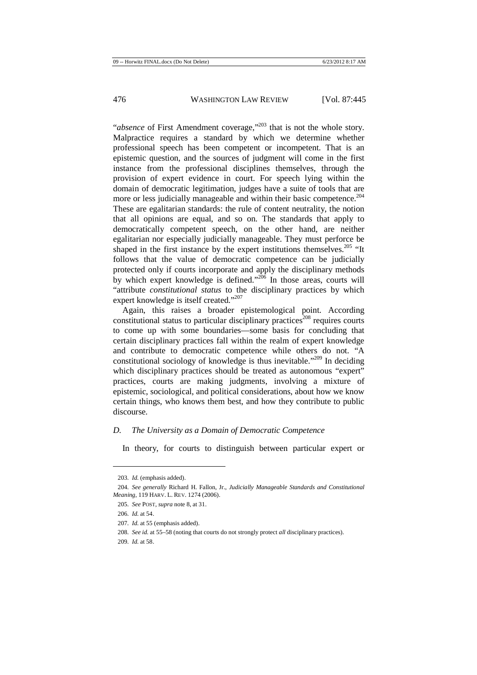"*absence* of First Amendment coverage,"<sup>203</sup> that is not the whole story. Malpractice requires a standard by which we determine whether professional speech has been competent or incompetent. That is an epistemic question, and the sources of judgment will come in the first instance from the professional disciplines themselves, through the provision of expert evidence in court. For speech lying within the domain of democratic legitimation, judges have a suite of tools that are more or less judicially manageable and within their basic competence.<sup>204</sup> These are egalitarian standards: the rule of content neutrality, the notion that all opinions are equal, and so on. The standards that apply to democratically competent speech, on the other hand, are neither egalitarian nor especially judicially manageable. They must perforce be shaped in the first instance by the expert institutions themselves.<sup>205</sup> "It follows that the value of democratic competence can be judicially protected only if courts incorporate and apply the disciplinary methods by which expert knowledge is defined."<sup>206</sup> In those areas, courts will "attribute *constitutional status* to the disciplinary practices by which expert knowledge is itself created."<sup>207</sup>

Again, this raises a broader epistemological point. According constitutional status to particular disciplinary practices<sup>208</sup> requires courts to come up with some boundaries—some basis for concluding that certain disciplinary practices fall within the realm of expert knowledge and contribute to democratic competence while others do not. "A constitutional sociology of knowledge is thus inevitable."<sup>209</sup> In deciding which disciplinary practices should be treated as autonomous "expert" practices, courts are making judgments, involving a mixture of epistemic, sociological, and political considerations, about how we know certain things, who knows them best, and how they contribute to public discourse.

## *D. The University as a Domain of Democratic Competence*

In theory, for courts to distinguish between particular expert or

<sup>203</sup>*. Id.* (emphasis added).

<sup>204</sup>*. See generally* Richard H. Fallon, Jr., *Judicially Manageable Standards and Constitutional Meaning*, 119 HARV. L. REV. 1274 (2006).

<sup>205</sup>*. See* POST, *supra* note 8, at 31.

<sup>206</sup>*. Id.* at 54.

<sup>207</sup>*. Id.* at 55 (emphasis added).

<sup>208</sup>*. See id.* at 55–58 (noting that courts do not strongly protect *all* disciplinary practices).

<sup>209</sup>*. Id.* at 58.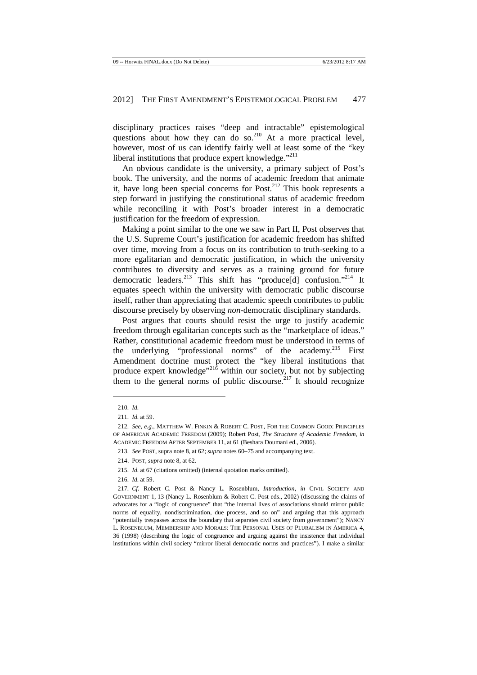disciplinary practices raises "deep and intractable" epistemological questions about how they can do so.<sup>210</sup> At a more practical level, however, most of us can identify fairly well at least some of the "key liberal institutions that produce expert knowledge."<sup>211</sup>

An obvious candidate is the university, a primary subject of Post's book. The university, and the norms of academic freedom that animate it, have long been special concerns for Post. $^{212}$  This book represents a step forward in justifying the constitutional status of academic freedom while reconciling it with Post's broader interest in a democratic justification for the freedom of expression.

Making a point similar to the one we saw in Part II, Post observes that the U.S. Supreme Court's justification for academic freedom has shifted over time, moving from a focus on its contribution to truth-seeking to a more egalitarian and democratic justification, in which the university contributes to diversity and serves as a training ground for future democratic leaders.<sup>213</sup> This shift has "produce[d] confusion."<sup>214</sup> It equates speech within the university with democratic public discourse itself, rather than appreciating that academic speech contributes to public discourse precisely by observing *non*-democratic disciplinary standards.

Post argues that courts should resist the urge to justify academic freedom through egalitarian concepts such as the "marketplace of ideas." Rather, constitutional academic freedom must be understood in terms of the underlying "professional norms" of the academy.<sup>215</sup> First Amendment doctrine must protect the "key liberal institutions that produce expert knowledge<sup> $216$ </sup> within our society, but not by subjecting them to the general norms of public discourse.<sup>217</sup> It should recognize

- 215*. Id.* at 67 (citations omitted) (internal quotation marks omitted).
- 216*. Id.* at 59.

<sup>210</sup>*. Id.*

<sup>211</sup>*. Id.* at 59.

<sup>212</sup>*. See, e.g.*, MATTHEW W. FINKIN & ROBERT C. POST, FOR THE COMMON GOOD: PRINCIPLES OF AMERICAN ACADEMIC FREEDOM (2009); Robert Post, *The Structure of Academic Freedom*, *in* ACADEMIC FREEDOM AFTER SEPTEMBER 11, at 61 (Beshara Doumani ed., 2006).

<sup>213</sup>*. See* POST, supra note 8, at 62; *supra* notes 60–75 and accompanying text.

<sup>214.</sup> POST, *supra* note 8, at 62.

<sup>217</sup>*. Cf.* Robert C. Post & Nancy L. Rosenblum, *Introduction*, *in* CIVIL SOCIETY AND GOVERNMENT 1, 13 (Nancy L. Rosenblum & Robert C. Post eds., 2002) (discussing the claims of advocates for a "logic of congruence" that "the internal lives of associations should mirror public norms of equality, nondiscrimination, due process, and so on" and arguing that this approach "potentially trespasses across the boundary that separates civil society from government"); NANCY L. ROSENBLUM, MEMBERSHIP AND MORALS: THE PERSONAL USES OF PLURALISM IN AMERICA 4, 36 (1998) (describing the logic of congruence and arguing against the insistence that individual institutions within civil society "mirror liberal democratic norms and practices"). I make a similar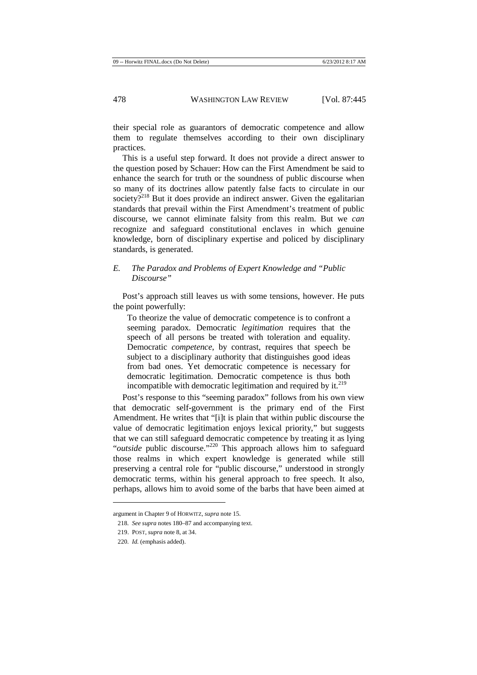their special role as guarantors of democratic competence and allow them to regulate themselves according to their own disciplinary practices.

This is a useful step forward. It does not provide a direct answer to the question posed by Schauer: How can the First Amendment be said to enhance the search for truth or the soundness of public discourse when so many of its doctrines allow patently false facts to circulate in our society?<sup>218</sup> But it does provide an indirect answer. Given the egalitarian standards that prevail within the First Amendment's treatment of public discourse, we cannot eliminate falsity from this realm. But we *can* recognize and safeguard constitutional enclaves in which genuine knowledge, born of disciplinary expertise and policed by disciplinary standards, is generated.

## *E. The Paradox and Problems of Expert Knowledge and "Public Discourse"*

Post's approach still leaves us with some tensions, however. He puts the point powerfully:

To theorize the value of democratic competence is to confront a seeming paradox. Democratic *legitimation* requires that the speech of all persons be treated with toleration and equality. Democratic *competence*, by contrast, requires that speech be subject to a disciplinary authority that distinguishes good ideas from bad ones. Yet democratic competence is necessary for democratic legitimation. Democratic competence is thus both incompatible with democratic legitimation and required by it. $219$ 

Post's response to this "seeming paradox" follows from his own view that democratic self-government is the primary end of the First Amendment. He writes that "[i]t is plain that within public discourse the value of democratic legitimation enjoys lexical priority," but suggests that we can still safeguard democratic competence by treating it as lying "*outside* public discourse."<sup>220</sup> This approach allows him to safeguard those realms in which expert knowledge is generated while still preserving a central role for "public discourse," understood in strongly democratic terms, within his general approach to free speech. It also, perhaps, allows him to avoid some of the barbs that have been aimed at

argument in Chapter 9 of HORWITZ, *supra* note 15.

<sup>218</sup>*. See supra* notes 180–87 and accompanying text.

<sup>219.</sup> POST, *supra* note 8, at 34.

<sup>220</sup>*. Id.* (emphasis added).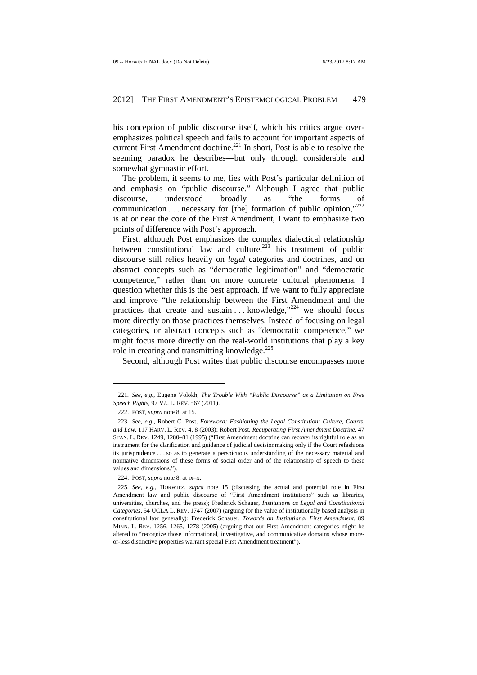his conception of public discourse itself, which his critics argue overemphasizes political speech and fails to account for important aspects of current First Amendment doctrine.<sup>221</sup> In short, Post is able to resolve the seeming paradox he describes—but only through considerable and somewhat gymnastic effort.

The problem, it seems to me, lies with Post's particular definition of and emphasis on "public discourse." Although I agree that public discourse, understood broadly as "the forms of communication . . . necessary for [the] formation of public opinion."<sup>222</sup> is at or near the core of the First Amendment, I want to emphasize two points of difference with Post's approach.

First, although Post emphasizes the complex dialectical relationship between constitutional law and culture,  $223$  his treatment of public discourse still relies heavily on *legal* categories and doctrines, and on abstract concepts such as "democratic legitimation" and "democratic competence," rather than on more concrete cultural phenomena. I question whether this is the best approach. If we want to fully appreciate and improve "the relationship between the First Amendment and the practices that create and sustain  $\dots$  knowledge,  $x^{224}$  we should focus more directly on those practices themselves. Instead of focusing on legal categories, or abstract concepts such as "democratic competence," we might focus more directly on the real-world institutions that play a key role in creating and transmitting knowledge. $225$ 

Second, although Post writes that public discourse encompasses more

l

<sup>221</sup>*. See, e.g.*, Eugene Volokh, *The Trouble With "Public Discourse" as a Limitation on Free Speech Rights*, 97 VA. L. REV. 567 (2011).

<sup>222.</sup> POST, *supra* note 8, at 15.

<sup>223</sup>*. See, e.g.*, Robert C. Post, *Foreword: Fashioning the Legal Constitution: Culture, Courts, and Law*, 117 HARV. L. REV. 4, 8 (2003); Robert Post, *Recuperating First Amendment Doctrine*, 47 STAN. L. REV. 1249, 1280–81 (1995) ("First Amendment doctrine can recover its rightful role as an instrument for the clarification and guidance of judicial decisionmaking only if the Court refashions its jurisprudence . . . so as to generate a perspicuous understanding of the necessary material and normative dimensions of these forms of social order and of the relationship of speech to these values and dimensions.").

<sup>224.</sup> POST, *supra* note 8, at ix–x.

<sup>225</sup>*. See, e.g.*, HORWITZ, *supra* note 15 (discussing the actual and potential role in First Amendment law and public discourse of "First Amendment institutions" such as libraries, universities, churches, and the press); Frederick Schauer, *Institutions as Legal and Constitutional Categories*, 54 UCLA L. REV. 1747 (2007) (arguing for the value of institutionally based analysis in constitutional law generally); Frederick Schauer, *Towards an Institutional First Amendment*, 89 MINN. L. REV. 1256, 1265, 1278 (2005) (arguing that our First Amendment categories might be altered to "recognize those informational, investigative, and communicative domains whose moreor-less distinctive properties warrant special First Amendment treatment").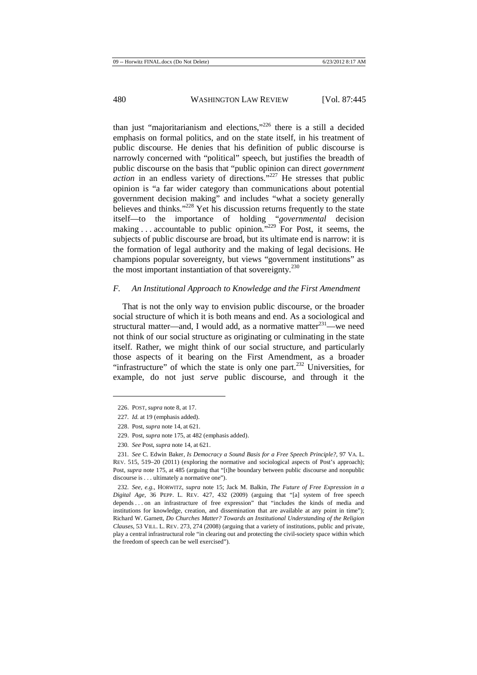than just "majoritarianism and elections,"<sup>226</sup> there is a still a decided emphasis on formal politics, and on the state itself, in his treatment of public discourse. He denies that his definition of public discourse is narrowly concerned with "political" speech, but justifies the breadth of public discourse on the basis that "public opinion can direct *government action* in an endless variety of directions.<sup>"227</sup> He stresses that public opinion is "a far wider category than communications about potential government decision making" and includes "what a society generally believes and thinks."<sup>228</sup> Yet his discussion returns frequently to the state itself—to the importance of holding "*governmental* decision making . . . accountable to public opinion."<sup>229</sup> For Post, it seems, the subjects of public discourse are broad, but its ultimate end is narrow: it is the formation of legal authority and the making of legal decisions. He champions popular sovereignty, but views "government institutions" as the most important instantiation of that sovereignty.<sup>230</sup>

#### *F. An Institutional Approach to Knowledge and the First Amendment*

That is not the only way to envision public discourse, or the broader social structure of which it is both means and end. As a sociological and structural matter—and, I would add, as a normative matter<sup>231</sup>—we need not think of our social structure as originating or culminating in the state itself. Rather, we might think of our social structure, and particularly those aspects of it bearing on the First Amendment, as a broader "infrastructure" of which the state is only one part. $^{232}$  Universities, for example, do not just *serve* public discourse, and through it the

<sup>226.</sup> POST, *supra* note 8, at 17.

<sup>227</sup>*. Id.* at 19 (emphasis added).

<sup>228.</sup> Post, *supra* note 14, at 621.

<sup>229.</sup> Post, *supra* note 175, at 482 (emphasis added).

<sup>230</sup>*. See* Post, *supra* note 14, at 621.

<sup>231</sup>*. See* C. Edwin Baker, *Is Democracy a Sound Basis for a Free Speech Principle?*, 97 VA. L. REV. 515, 519–20 (2011) (exploring the normative and sociological aspects of Post's approach); Post, *supra* note 175, at 485 (arguing that "[t]he boundary between public discourse and nonpublic discourse is . . . ultimately a normative one").

<sup>232</sup>*. See, e.g.*, HORWITZ, *supra* note 15; Jack M. Balkin, *The Future of Free Expression in a Digital Age*, 36 PEPP. L. REV. 427, 432 (2009) (arguing that "[a] system of free speech depends . . . on an infrastructure of free expression" that "includes the kinds of media and institutions for knowledge, creation, and dissemination that are available at any point in time"); Richard W. Garnett, *Do Churches Matter? Towards an Institutional Understanding of the Religion Clauses*, 53 VILL. L. REV. 273, 274 (2008) (arguing that a variety of institutions, public and private, play a central infrastructural role "in clearing out and protecting the civil-society space within which the freedom of speech can be well exercised").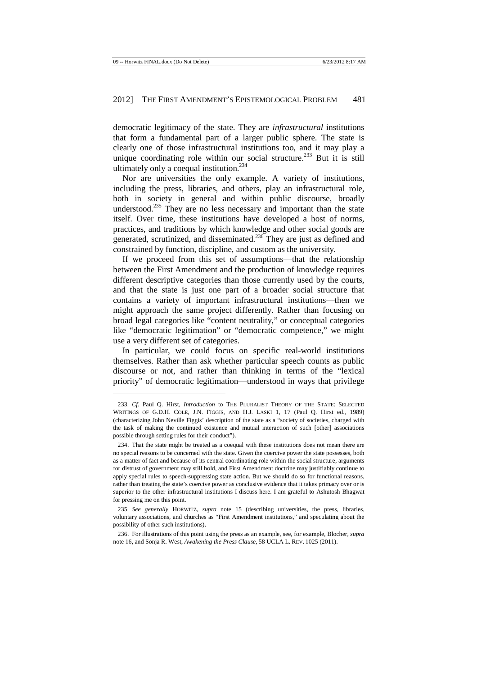democratic legitimacy of the state. They are *infrastructural* institutions that form a fundamental part of a larger public sphere. The state is clearly one of those infrastructural institutions too, and it may play a unique coordinating role within our social structure.<sup>233</sup> But it is still ultimately only a coequal institution.<sup>234</sup>

Nor are universities the only example. A variety of institutions, including the press, libraries, and others, play an infrastructural role, both in society in general and within public discourse, broadly understood.<sup>235</sup> They are no less necessary and important than the state itself. Over time, these institutions have developed a host of norms, practices, and traditions by which knowledge and other social goods are generated, scrutinized, and disseminated.<sup>236</sup> They are just as defined and constrained by function, discipline, and custom as the university.

If we proceed from this set of assumptions—that the relationship between the First Amendment and the production of knowledge requires different descriptive categories than those currently used by the courts, and that the state is just one part of a broader social structure that contains a variety of important infrastructural institutions—then we might approach the same project differently. Rather than focusing on broad legal categories like "content neutrality," or conceptual categories like "democratic legitimation" or "democratic competence," we might use a very different set of categories.

In particular, we could focus on specific real-world institutions themselves. Rather than ask whether particular speech counts as public discourse or not, and rather than thinking in terms of the "lexical priority" of democratic legitimation—understood in ways that privilege

<sup>233</sup>*. Cf.* Paul Q. Hirst, *Introduction* to THE PLURALIST THEORY OF THE STATE: SELECTED WRITINGS OF G.D.H. COLE, J.N. FIGGIS, AND H.J. LASKI 1, 17 (Paul O. Hirst ed., 1989) (characterizing John Neville Figgis' description of the state as a "society of societies, charged with the task of making the continued existence and mutual interaction of such [other] associations possible through setting rules for their conduct").

<sup>234.</sup> That the state might be treated as a coequal with these institutions does not mean there are no special reasons to be concerned with the state. Given the coercive power the state possesses, both as a matter of fact and because of its central coordinating role within the social structure, arguments for distrust of government may still hold, and First Amendment doctrine may justifiably continue to apply special rules to speech-suppressing state action. But we should do so for functional reasons, rather than treating the state's coercive power as conclusive evidence that it takes primacy over or is superior to the other infrastructural institutions I discuss here. I am grateful to Ashutosh Bhagwat for pressing me on this point.

<sup>235</sup>*. See generally* HORWITZ, *supra* note 15 (describing universities, the press, libraries, voluntary associations, and churches as "First Amendment institutions," and speculating about the possibility of other such institutions).

<sup>236.</sup> For illustrations of this point using the press as an example, see, for example, Blocher, *supra*  note 16, and Sonja R. West, *Awakening the Press Clause*, 58 UCLA L. REV. 1025 (2011).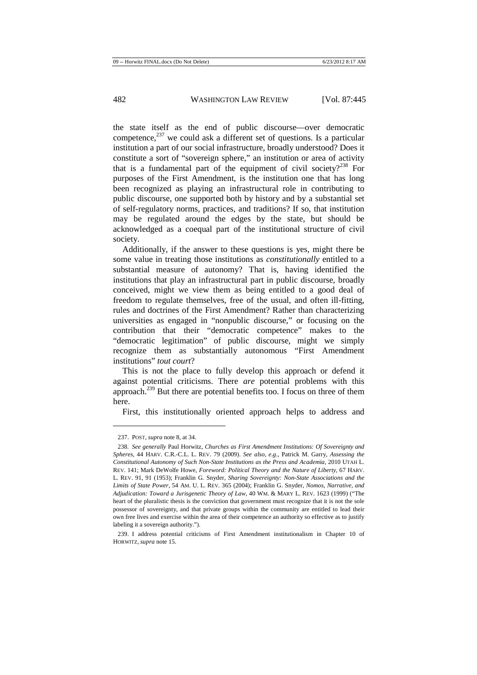the state itself as the end of public discourse—over democratic competence, $^{237}$  we could ask a different set of questions. Is a particular institution a part of our social infrastructure, broadly understood? Does it constitute a sort of "sovereign sphere," an institution or area of activity that is a fundamental part of the equipment of civil society?<sup>238</sup> For purposes of the First Amendment, is the institution one that has long been recognized as playing an infrastructural role in contributing to public discourse, one supported both by history and by a substantial set of self-regulatory norms, practices, and traditions? If so, that institution may be regulated around the edges by the state, but should be acknowledged as a coequal part of the institutional structure of civil society.

Additionally, if the answer to these questions is yes, might there be some value in treating those institutions as *constitutionally* entitled to a substantial measure of autonomy? That is, having identified the institutions that play an infrastructural part in public discourse, broadly conceived, might we view them as being entitled to a good deal of freedom to regulate themselves, free of the usual, and often ill-fitting, rules and doctrines of the First Amendment? Rather than characterizing universities as engaged in "nonpublic discourse," or focusing on the contribution that their "democratic competence" makes to the "democratic legitimation" of public discourse, might we simply recognize them as substantially autonomous "First Amendment institutions" *tout court*?

This is not the place to fully develop this approach or defend it against potential criticisms. There *are* potential problems with this approach.<sup>239</sup> But there are potential benefits too. I focus on three of them here.

First, this institutionally oriented approach helps to address and

<sup>237.</sup> POST, *supra* note 8, at 34.

<sup>238</sup>*. See generally* Paul Horwitz, *Churches as First Amendment Institutions: Of Sovereignty and Spheres*, 44 HARV. C.R.-C.L. L. REV. 79 (2009). *See also, e.g.*, Patrick M. Garry, *Assessing the Constitutional Autonomy of Such Non-State Institutions as the Press and Academia*, 2010 UTAH L. REV. 141; Mark DeWolfe Howe, *Foreword: Political Theory and the Nature of Liberty*, 67 HARV. L. REV. 91, 91 (1953); Franklin G. Snyder, *Sharing Sovereignty: Non-State Associations and the Limits of State Power*, 54 AM. U. L. REV. 365 (2004); Franklin G. Snyder, *Nomos, Narrative, and Adjudication: Toward a Jurisgenetic Theory of Law*, 40 WM. & MARY L. REV. 1623 (1999) ("The heart of the pluralistic thesis is the conviction that government must recognize that it is not the sole possessor of sovereignty, and that private groups within the community are entitled to lead their own free lives and exercise within the area of their competence an authority so effective as to justify labeling it a sovereign authority."

<sup>239.</sup> I address potential criticisms of First Amendment institutionalism in Chapter 10 of HORWITZ, *supra* note 15.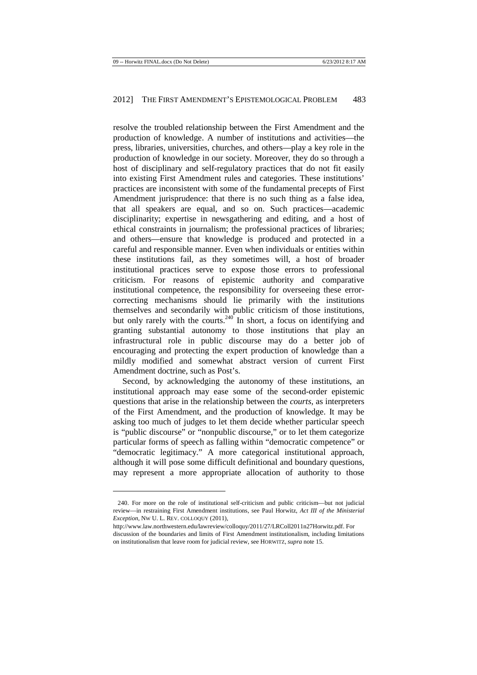resolve the troubled relationship between the First Amendment and the production of knowledge. A number of institutions and activities—the press, libraries, universities, churches, and others—play a key role in the production of knowledge in our society. Moreover, they do so through a host of disciplinary and self-regulatory practices that do not fit easily into existing First Amendment rules and categories. These institutions' practices are inconsistent with some of the fundamental precepts of First Amendment jurisprudence: that there is no such thing as a false idea, that all speakers are equal, and so on. Such practices—academic disciplinarity; expertise in newsgathering and editing, and a host of ethical constraints in journalism; the professional practices of libraries; and others—ensure that knowledge is produced and protected in a careful and responsible manner. Even when individuals or entities within these institutions fail, as they sometimes will, a host of broader institutional practices serve to expose those errors to professional criticism. For reasons of epistemic authority and comparative institutional competence, the responsibility for overseeing these errorcorrecting mechanisms should lie primarily with the institutions themselves and secondarily with public criticism of those institutions, but only rarely with the courts.<sup>240</sup> In short, a focus on identifying and granting substantial autonomy to those institutions that play an infrastructural role in public discourse may do a better job of encouraging and protecting the expert production of knowledge than a mildly modified and somewhat abstract version of current First Amendment doctrine, such as Post's.

Second, by acknowledging the autonomy of these institutions, an institutional approach may ease some of the second-order epistemic questions that arise in the relationship between the *courts*, as interpreters of the First Amendment, and the production of knowledge. It may be asking too much of judges to let them decide whether particular speech is "public discourse" or "nonpublic discourse," or to let them categorize particular forms of speech as falling within "democratic competence" or "democratic legitimacy." A more categorical institutional approach, although it will pose some difficult definitional and boundary questions, may represent a more appropriate allocation of authority to those

<sup>240.</sup> For more on the role of institutional self-criticism and public criticism—but not judicial review—in restraining First Amendment institutions, see Paul Horwitz, *Act III of the Ministerial Exception*, NW U. L. REV. COLLOQUY (2011),

http://www.law.northwestern.edu/lawreview/colloquy/2011/27/LRColl2011n27Horwitz.pdf. For discussion of the boundaries and limits of First Amendment institutionalism, including limitations on institutionalism that leave room for judicial review, see HORWITZ, *supra* note 15.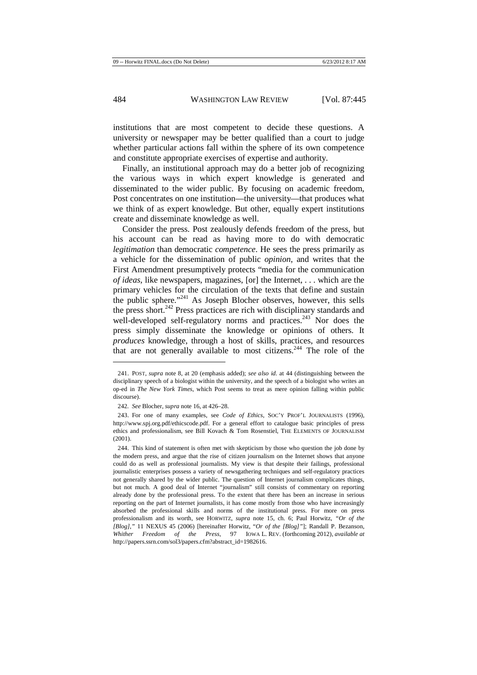institutions that are most competent to decide these questions. A university or newspaper may be better qualified than a court to judge whether particular actions fall within the sphere of its own competence and constitute appropriate exercises of expertise and authority.

Finally, an institutional approach may do a better job of recognizing the various ways in which expert knowledge is generated and disseminated to the wider public. By focusing on academic freedom, Post concentrates on one institution—the university—that produces what we think of as expert knowledge. But other, equally expert institutions create and disseminate knowledge as well.

Consider the press. Post zealously defends freedom of the press, but his account can be read as having more to do with democratic *legitimation* than democratic *competence*. He sees the press primarily as a vehicle for the dissemination of public *opinion*, and writes that the First Amendment presumptively protects "media for the communication *of ideas*, like newspapers, magazines, [or] the Internet, . . . which are the primary vehicles for the circulation of the texts that define and sustain the public sphere."<sup>241</sup> As Joseph Blocher observes, however, this sells the press short.<sup>242</sup> Press practices are rich with disciplinary standards and well-developed self-regulatory norms and practices. $243$  Nor does the press simply disseminate the knowledge or opinions of others. It *produces* knowledge, through a host of skills, practices, and resources that are not generally available to most citizens.<sup>244</sup> The role of the

<sup>241.</sup> POST, *supra* note 8, at 20 (emphasis added); *see also id.* at 44 (distinguishing between the disciplinary speech of a biologist within the university, and the speech of a biologist who writes an op-ed in *The New York Times*, which Post seems to treat as mere opinion falling within public discourse).

<sup>242</sup>*. See* Blocher, *supra* note 16, at 426–28.

<sup>243.</sup> For one of many examples, see *Code of Ethics*, SOC'Y PROF'L JOURNALISTS (1996), http://www.spj.org.pdf/ethicscode.pdf. For a general effort to catalogue basic principles of press ethics and professionalism, see Bill Kovach & Tom Rosenstiel, THE ELEMENTS OF JOURNALISM (2001).

<sup>244.</sup> This kind of statement is often met with skepticism by those who question the job done by the modern press, and argue that the rise of citizen journalism on the Internet shows that anyone could do as well as professional journalists. My view is that despite their failings, professional journalistic enterprises possess a variety of newsgathering techniques and self-regulatory practices not generally shared by the wider public. The question of Internet journalism complicates things, but not much. A good deal of Internet "journalism" still consists of commentary on reporting already done by the professional press. To the extent that there has been an increase in serious reporting on the part of Internet journalists, it has come mostly from those who have increasingly absorbed the professional skills and norms of the institutional press. For more on press professionalism and its worth, see HORWITZ, *supra* note 15, ch. 6; Paul Horwitz, *"Or of the [Blog]*,*"* 11 NEXUS 45 (2006) [hereinafter Horwitz, "*Or of the [Blog]"*]; Randall P. Bezanson, *Whither Freedom of the Press*, 97 IOWA L. REV. (forthcoming 2012), *available at* http://papers.ssrn.com/sol3/papers.cfm?abstract\_id=1982616.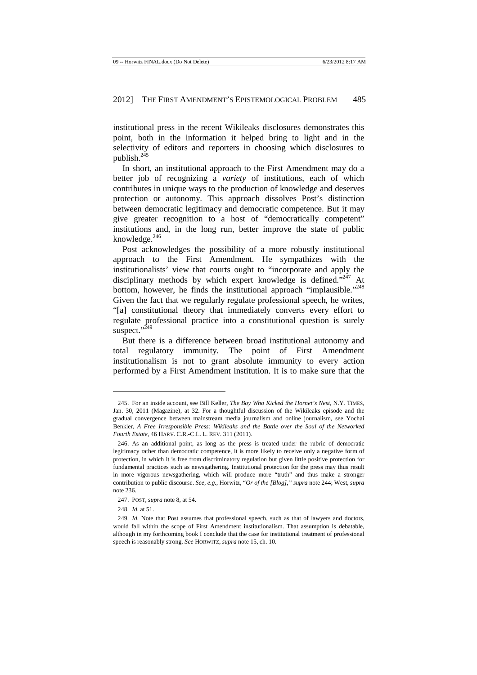institutional press in the recent Wikileaks disclosures demonstrates this point, both in the information it helped bring to light and in the selectivity of editors and reporters in choosing which disclosures to publish.<sup>245</sup>

In short, an institutional approach to the First Amendment may do a better job of recognizing a *variety* of institutions, each of which contributes in unique ways to the production of knowledge and deserves protection or autonomy. This approach dissolves Post's distinction between democratic legitimacy and democratic competence. But it may give greater recognition to a host of "democratically competent" institutions and, in the long run, better improve the state of public knowledge. $246$ 

Post acknowledges the possibility of a more robustly institutional approach to the First Amendment. He sympathizes with the institutionalists' view that courts ought to "incorporate and apply the disciplinary methods by which expert knowledge is defined."<sup>247</sup> At bottom, however, he finds the institutional approach "implausible."<sup>248</sup> Given the fact that we regularly regulate professional speech, he writes, "[a] constitutional theory that immediately converts every effort to regulate professional practice into a constitutional question is surely suspect."<sup>249</sup>

But there is a difference between broad institutional autonomy and total regulatory immunity. The point of First Amendment institutionalism is not to grant absolute immunity to every action performed by a First Amendment institution. It is to make sure that the

l

<sup>245.</sup> For an inside account, see Bill Keller, *The Boy Who Kicked the Hornet's Nest*, N.Y. TIMES, Jan. 30, 2011 (Magazine), at 32. For a thoughtful discussion of the Wikileaks episode and the gradual convergence between mainstream media journalism and online journalism, see Yochai Benkler, *A Free Irresponsible Press: Wikileaks and the Battle over the Soul of the Networked Fourth Estate*, 46 HARV. C.R.-C.L. L. REV. 311 (2011).

<sup>246.</sup> As an additional point, as long as the press is treated under the rubric of democratic legitimacy rather than democratic competence, it is more likely to receive only a negative form of protection, in which it is free from discriminatory regulation but given little positive protection for fundamental practices such as newsgathering. Institutional protection for the press may thus result in more vigorous newsgathering, which will produce more "truth" and thus make a stronger contribution to public discourse. *See, e.g.*, Horwitz, "*Or of the [Blog]*,*" supra* note 244; West, *supra*  note 236.

<sup>247.</sup> POST, *supra* note 8, at 54.

<sup>248</sup>*. Id.* at 51.

<sup>249</sup>*. Id.* Note that Post assumes that professional speech, such as that of lawyers and doctors, would fall within the scope of First Amendment institutionalism. That assumption is debatable, although in my forthcoming book I conclude that the case for institutional treatment of professional speech is reasonably strong. *See* HORWITZ, *supra* note 15, ch. 10.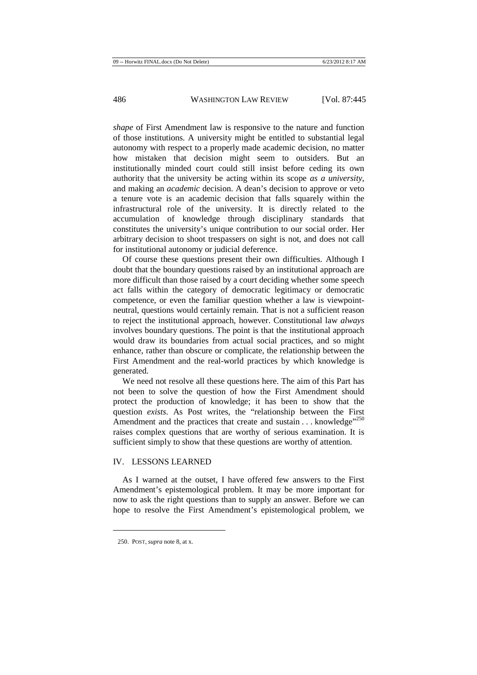*shape* of First Amendment law is responsive to the nature and function of those institutions. A university might be entitled to substantial legal autonomy with respect to a properly made academic decision, no matter how mistaken that decision might seem to outsiders. But an institutionally minded court could still insist before ceding its own authority that the university be acting within its scope *as a university*, and making an *academic* decision. A dean's decision to approve or veto a tenure vote is an academic decision that falls squarely within the infrastructural role of the university. It is directly related to the accumulation of knowledge through disciplinary standards that constitutes the university's unique contribution to our social order. Her arbitrary decision to shoot trespassers on sight is not, and does not call for institutional autonomy or judicial deference.

Of course these questions present their own difficulties. Although I doubt that the boundary questions raised by an institutional approach are more difficult than those raised by a court deciding whether some speech act falls within the category of democratic legitimacy or democratic competence, or even the familiar question whether a law is viewpointneutral, questions would certainly remain. That is not a sufficient reason to reject the institutional approach, however. Constitutional law *always*  involves boundary questions. The point is that the institutional approach would draw its boundaries from actual social practices, and so might enhance, rather than obscure or complicate, the relationship between the First Amendment and the real-world practices by which knowledge is generated.

We need not resolve all these questions here. The aim of this Part has not been to solve the question of how the First Amendment should protect the production of knowledge; it has been to show that the question *exists*. As Post writes, the "relationship between the First Amendment and the practices that create and sustain  $\dots$  knowledge<sup> $1250$ </sup> raises complex questions that are worthy of serious examination. It is sufficient simply to show that these questions are worthy of attention.

## IV. LESSONS LEARNED

As I warned at the outset, I have offered few answers to the First Amendment's epistemological problem. It may be more important for now to ask the right questions than to supply an answer. Before we can hope to resolve the First Amendment's epistemological problem, we

<sup>250.</sup> POST, *supra* note 8, at x.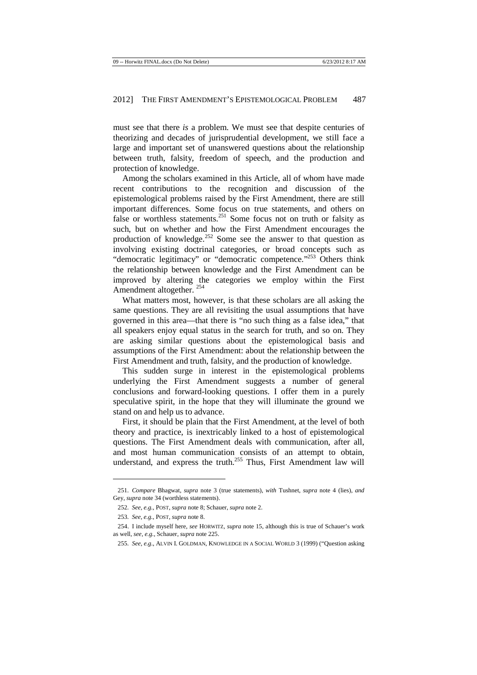must see that there *is* a problem. We must see that despite centuries of theorizing and decades of jurisprudential development, we still face a large and important set of unanswered questions about the relationship between truth, falsity, freedom of speech, and the production and protection of knowledge.

Among the scholars examined in this Article, all of whom have made recent contributions to the recognition and discussion of the epistemological problems raised by the First Amendment, there are still important differences. Some focus on true statements, and others on false or worthless statements.<sup>251</sup> Some focus not on truth or falsity as such, but on whether and how the First Amendment encourages the production of knowledge.<sup>252</sup> Some see the answer to that question as involving existing doctrinal categories, or broad concepts such as "democratic legitimacy" or "democratic competence."<sup>253</sup> Others think the relationship between knowledge and the First Amendment can be improved by altering the categories we employ within the First Amendment altogether. <sup>254</sup>

What matters most, however, is that these scholars are all asking the same questions. They are all revisiting the usual assumptions that have governed in this area—that there is "no such thing as a false idea," that all speakers enjoy equal status in the search for truth, and so on. They are asking similar questions about the epistemological basis and assumptions of the First Amendment: about the relationship between the First Amendment and truth, falsity, and the production of knowledge.

This sudden surge in interest in the epistemological problems underlying the First Amendment suggests a number of general conclusions and forward-looking questions. I offer them in a purely speculative spirit, in the hope that they will illuminate the ground we stand on and help us to advance.

First, it should be plain that the First Amendment, at the level of both theory and practice, is inextricably linked to a host of epistemological questions. The First Amendment deals with communication, after all, and most human communication consists of an attempt to obtain, understand, and express the truth.<sup>255</sup> Thus, First Amendment law will

l

<sup>251</sup>*. Compare* Bhagwat, *supra* note 3 (true statements), *with* Tushnet, *supra* note 4 (lies), *and*  Gey, *supra* note 34 (worthless statements).

<sup>252</sup>*. See, e.g.*, POST, *supra* note 8; Schauer, *supra* note 2.

<sup>253</sup>*. See, e.g.*, POST, *supra* note 8.

<sup>254.</sup> I include myself here, *see* HORWITZ, *supra* note 15, although this is true of Schauer's work as well, *see, e.g.*, Schauer, *supra* note 225.

<sup>255</sup>*. See, e.g.*, ALVIN I. GOLDMAN, KNOWLEDGE IN A SOCIAL WORLD 3 (1999) ("Question asking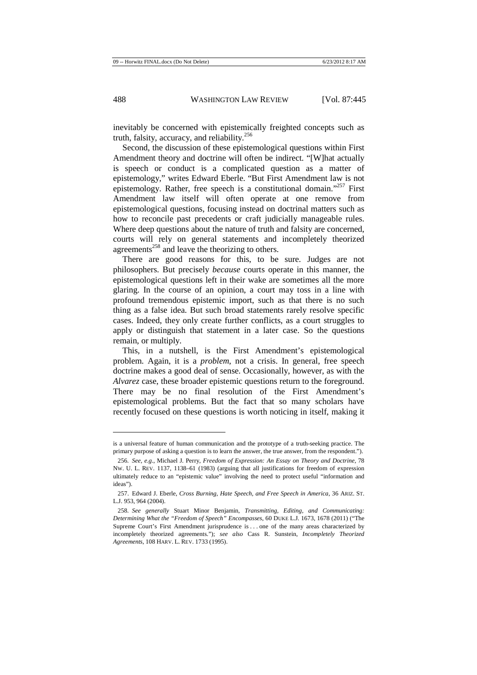inevitably be concerned with epistemically freighted concepts such as truth, falsity, accuracy, and reliability.<sup>256</sup>

Second, the discussion of these epistemological questions within First Amendment theory and doctrine will often be indirect. "[W]hat actually is speech or conduct is a complicated question as a matter of epistemology," writes Edward Eberle. "But First Amendment law is not epistemology. Rather, free speech is a constitutional domain."<sup>257</sup> First Amendment law itself will often operate at one remove from epistemological questions, focusing instead on doctrinal matters such as how to reconcile past precedents or craft judicially manageable rules. Where deep questions about the nature of truth and falsity are concerned, courts will rely on general statements and incompletely theorized agreements<sup>258</sup> and leave the theorizing to others.

There are good reasons for this, to be sure. Judges are not philosophers. But precisely *because* courts operate in this manner, the epistemological questions left in their wake are sometimes all the more glaring. In the course of an opinion, a court may toss in a line with profound tremendous epistemic import, such as that there is no such thing as a false idea. But such broad statements rarely resolve specific cases. Indeed, they only create further conflicts, as a court struggles to apply or distinguish that statement in a later case. So the questions remain, or multiply.

This, in a nutshell, is the First Amendment's epistemological problem. Again, it is a *problem*, not a crisis. In general, free speech doctrine makes a good deal of sense. Occasionally, however, as with the *Alvarez* case, these broader epistemic questions return to the foreground. There may be no final resolution of the First Amendment's epistemological problems. But the fact that so many scholars have recently focused on these questions is worth noticing in itself, making it

is a universal feature of human communication and the prototype of a truth-seeking practice. The primary purpose of asking a question is to learn the answer, the true answer, from the respondent.").

<sup>256</sup>*. See, e.g.*, Michael J. Perry, *Freedom of Expression: An Essay on Theory and Doctrine*, 78 NW. U. L. REV. 1137, 1138–61 (1983) (arguing that all justifications for freedom of expression ultimately reduce to an "epistemic value" involving the need to protect useful "information and ideas").

<sup>257.</sup> Edward J. Eberle, *Cross Burning, Hate Speech, and Free Speech in America*, 36 ARIZ. ST. L.J. 953, 964 (2004).

<sup>258</sup>*. See generally* Stuart Minor Benjamin, *Transmitting, Editing, and Communicating: Determining What the "Freedom of Speech" Encompasses*, 60 DUKE L.J. 1673, 1678 (2011) ("The Supreme Court's First Amendment jurisprudence is . . . one of the many areas characterized by incompletely theorized agreements."); *see also* Cass R. Sunstein, *Incompletely Theorized Agreements*, 108 HARV. L. REV. 1733 (1995).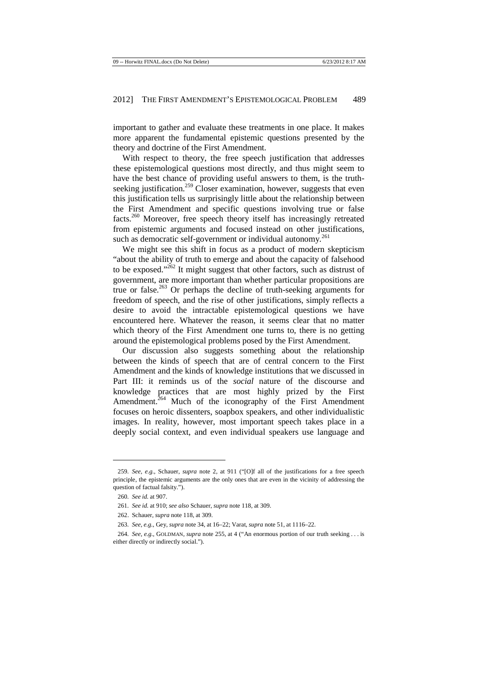important to gather and evaluate these treatments in one place. It makes more apparent the fundamental epistemic questions presented by the theory and doctrine of the First Amendment.

With respect to theory, the free speech justification that addresses these epistemological questions most directly, and thus might seem to have the best chance of providing useful answers to them, is the truthseeking justification.<sup>259</sup> Closer examination, however, suggests that even this justification tells us surprisingly little about the relationship between the First Amendment and specific questions involving true or false facts.<sup>260</sup> Moreover, free speech theory itself has increasingly retreated from epistemic arguments and focused instead on other justifications, such as democratic self-government or individual autonomy.<sup>261</sup>

We might see this shift in focus as a product of modern skepticism "about the ability of truth to emerge and about the capacity of falsehood to be exposed." $^{262}$  It might suggest that other factors, such as distrust of government, are more important than whether particular propositions are true or false.<sup>263</sup> Or perhaps the decline of truth-seeking arguments for freedom of speech, and the rise of other justifications, simply reflects a desire to avoid the intractable epistemological questions we have encountered here. Whatever the reason, it seems clear that no matter which theory of the First Amendment one turns to, there is no getting around the epistemological problems posed by the First Amendment.

Our discussion also suggests something about the relationship between the kinds of speech that are of central concern to the First Amendment and the kinds of knowledge institutions that we discussed in Part III: it reminds us of the *social* nature of the discourse and knowledge practices that are most highly prized by the First Amendment.<sup>264</sup> Much of the iconography of the First Amendment focuses on heroic dissenters, soapbox speakers, and other individualistic images. In reality, however, most important speech takes place in a deeply social context, and even individual speakers use language and

<sup>259</sup>*. See, e.g.*, Schauer, *supra* note 2, at 911 ("[O]f all of the justifications for a free speech principle, the epistemic arguments are the only ones that are even in the vicinity of addressing the question of factual falsity.").

<sup>260</sup>*. See id.* at 907.

<sup>261</sup>*. See id.* at 910; *see also* Schauer, *supra* note 118, at 309.

<sup>262.</sup> Schauer, *supra* note 118, at 309.

<sup>263</sup>*. See, e.g.*, Gey, *supra* note 34, at 16–22; Varat, *supra* note 51, at 1116–22.

<sup>264</sup>*. See, e.g.*, GOLDMAN, *supra* note 255, at 4 ("An enormous portion of our truth seeking . . . is either directly or indirectly social.").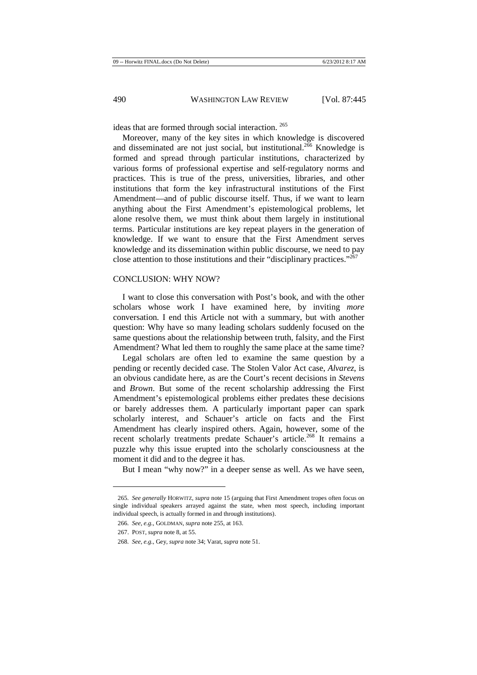ideas that are formed through social interaction.<sup>265</sup>

Moreover, many of the key sites in which knowledge is discovered and disseminated are not just social, but institutional.<sup>266</sup> Knowledge is formed and spread through particular institutions, characterized by various forms of professional expertise and self-regulatory norms and practices. This is true of the press, universities, libraries, and other institutions that form the key infrastructural institutions of the First Amendment—and of public discourse itself. Thus, if we want to learn anything about the First Amendment's epistemological problems, let alone resolve them, we must think about them largely in institutional terms. Particular institutions are key repeat players in the generation of knowledge. If we want to ensure that the First Amendment serves knowledge and its dissemination within public discourse, we need to pay close attention to those institutions and their "disciplinary practices."<sup>267</sup>

#### CONCLUSION: WHY NOW?

I want to close this conversation with Post's book, and with the other scholars whose work I have examined here, by inviting *more*  conversation. I end this Article not with a summary, but with another question: Why have so many leading scholars suddenly focused on the same questions about the relationship between truth, falsity, and the First Amendment? What led them to roughly the same place at the same time?

Legal scholars are often led to examine the same question by a pending or recently decided case. The Stolen Valor Act case, *Alvarez*, is an obvious candidate here, as are the Court's recent decisions in *Stevens*  and *Brown*. But some of the recent scholarship addressing the First Amendment's epistemological problems either predates these decisions or barely addresses them. A particularly important paper can spark scholarly interest, and Schauer's article on facts and the First Amendment has clearly inspired others. Again, however, some of the recent scholarly treatments predate Schauer's article.<sup>268</sup> It remains a puzzle why this issue erupted into the scholarly consciousness at the moment it did and to the degree it has.

But I mean "why now?" in a deeper sense as well. As we have seen,

<sup>265</sup>*. See generally* HORWITZ, *supra* note 15 (arguing that First Amendment tropes often focus on single individual speakers arrayed against the state, when most speech, including important individual speech, is actually formed in and through institutions).

<sup>266</sup>*. See, e.g.*, GOLDMAN, *supra* note 255, at 163.

<sup>267.</sup> POST, *supra* note 8, at 55*.* 

<sup>268</sup>*. See, e.g.*, Gey, *supra* note 34; Varat, *supra* note 51.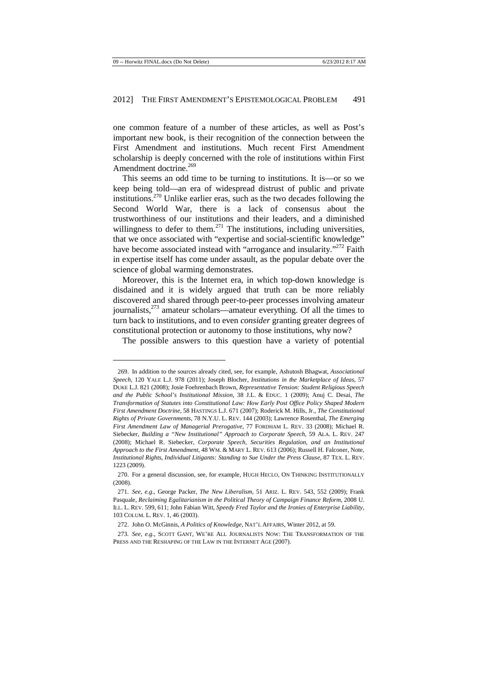one common feature of a number of these articles, as well as Post's important new book, is their recognition of the connection between the First Amendment and institutions. Much recent First Amendment scholarship is deeply concerned with the role of institutions within First Amendment doctrine.<sup>269</sup>

This seems an odd time to be turning to institutions. It is—or so we keep being told—an era of widespread distrust of public and private institutions.<sup>270</sup> Unlike earlier eras, such as the two decades following the Second World War, there is a lack of consensus about the trustworthiness of our institutions and their leaders, and a diminished willingness to defer to them.<sup>271</sup> The institutions, including universities, that we once associated with "expertise and social-scientific knowledge" have become associated instead with "arrogance and insularity."<sup>272</sup> Faith in expertise itself has come under assault, as the popular debate over the science of global warming demonstrates.

Moreover, this is the Internet era, in which top-down knowledge is disdained and it is widely argued that truth can be more reliably discovered and shared through peer-to-peer processes involving amateur journalists, $^{273}$  amateur scholars—amateur everything. Of all the times to turn back to institutions, and to even *consider* granting greater degrees of constitutional protection or autonomy to those institutions, why now?

The possible answers to this question have a variety of potential

<sup>269.</sup> In addition to the sources already cited, see, for example, Ashutosh Bhagwat, *Associational Speech*, 120 YALE L.J. 978 (2011); Joseph Blocher, *Institutions in the Marketplace of Ideas*, 57 DUKE L.J. 821 (2008); Josie Foehrenbach Brown, *Representative Tension: Student Religious Speech and the Public School's Institutional Mission*, 38 J.L. & EDUC. 1 (2009); Anuj C. Desai, *The Transformation of Statutes into Constitutional Law: How Early Post Office Policy Shaped Modern First Amendment Doctrine*, 58 HASTINGS L.J. 671 (2007); Roderick M. Hills, Jr., *The Constitutional Rights of Private Governments*, 78 N.Y.U. L. REV. 144 (2003); Lawrence Rosenthal, *The Emerging First Amendment Law of Managerial Prerogative*, 77 FORDHAM L. REV. 33 (2008); Michael R. Siebecker, *Building a "New Institutional" Approach to Corporate Speech*, 59 ALA. L. REV. 247 (2008); Michael R. Siebecker, *Corporate Speech, Securities Regulation, and an Institutional Approach to the First Amendment*, 48 WM. & MARY L. REV. 613 (2006); Russell H. Falconer, Note, *Institutional Rights, Individual Litigants: Standing to Sue Under the Press Clause*, 87 TEX. L. REV. 1223 (2009).

<sup>270.</sup> For a general discussion, see, for example, HUGH HECLO, ON THINKING INSTITUTIONALLY (2008).

<sup>271</sup>*. See, e.g.*, George Packer, *The New Liberalism*, 51 ARIZ. L. REV. 543, 552 (2009); Frank Pasquale, *Reclaiming Egalitarianism in the Political Theory of Campaign Finance Reform*, 2008 U. ILL. L. REV. 599, 611; John Fabian Witt, *Speedy Fred Taylor and the Ironies of Enterprise Liability*, 103 COLUM. L. REV. 1, 46 (2003).

<sup>272.</sup> John O. McGinnis, *A Politics of Knowledge*, NAT'L AFFAIRS, Winter 2012, at 59.

<sup>273</sup>*. See, e.g.*, SCOTT GANT, WE'RE ALL JOURNALISTS NOW: THE TRANSFORMATION OF THE PRESS AND THE RESHAPING OF THE LAW IN THE INTERNET AGE (2007).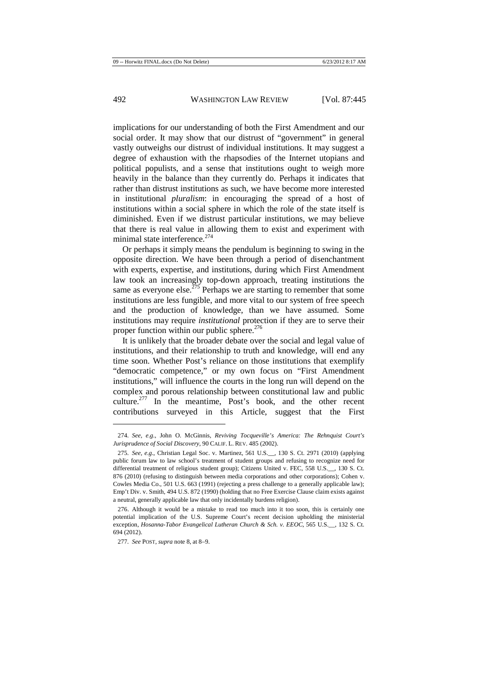implications for our understanding of both the First Amendment and our social order. It may show that our distrust of "government" in general vastly outweighs our distrust of individual institutions. It may suggest a degree of exhaustion with the rhapsodies of the Internet utopians and political populists, and a sense that institutions ought to weigh more heavily in the balance than they currently do. Perhaps it indicates that rather than distrust institutions as such, we have become more interested in institutional *pluralism*: in encouraging the spread of a host of institutions within a social sphere in which the role of the state itself is diminished. Even if we distrust particular institutions, we may believe that there is real value in allowing them to exist and experiment with minimal state interference.<sup>274</sup>

Or perhaps it simply means the pendulum is beginning to swing in the opposite direction. We have been through a period of disenchantment with experts, expertise, and institutions, during which First Amendment law took an increasingly top-down approach, treating institutions the same as everyone else.<sup> $275$ </sup> Perhaps we are starting to remember that some institutions are less fungible, and more vital to our system of free speech and the production of knowledge, than we have assumed. Some institutions may require *institutional* protection if they are to serve their proper function within our public sphere.<sup>276</sup>

It is unlikely that the broader debate over the social and legal value of institutions, and their relationship to truth and knowledge, will end any time soon. Whether Post's reliance on those institutions that exemplify "democratic competence," or my own focus on "First Amendment institutions," will influence the courts in the long run will depend on the complex and porous relationship between constitutional law and public culture.<sup>277</sup> In the meantime, Post's book, and the other recent contributions surveyed in this Article, suggest that the First

<sup>274</sup>*. See, e.g.*, John O. McGinnis, *Reviving Tocqueville's America: The Rehnquist Court's Jurisprudence of Social Discovery*, 90 CALIF. L. REV. 485 (2002).

<sup>275</sup>*. See, e.g.*, Christian Legal Soc. v. Martinez, 561 U.S.\_\_, 130 S. Ct. 2971 (2010) (applying public forum law to law school's treatment of student groups and refusing to recognize need for differential treatment of religious student group); Citizens United v. FEC, 558 U.S.\_, 130 S. Ct. 876 (2010) (refusing to distinguish between media corporations and other corporations); Cohen v. Cowles Media Co., 501 U.S. 663 (1991) (rejecting a press challenge to a generally applicable law); Emp't Div. v. Smith, 494 U.S. 872 (1990) (holding that no Free Exercise Clause claim exists against a neutral, generally applicable law that only incidentally burdens religion).

<sup>276.</sup> Although it would be a mistake to read too much into it too soon, this is certainly one potential implication of the U.S. Supreme Court's recent decision upholding the ministerial exception, *Hosanna-Tabor Evangelical Lutheran Church & Sch. v. EEOC*, 565 U.S.\_\_, 132 S. Ct. 694 (2012).

<sup>277</sup>*. See* POST, *supra* note 8, at 8–9.